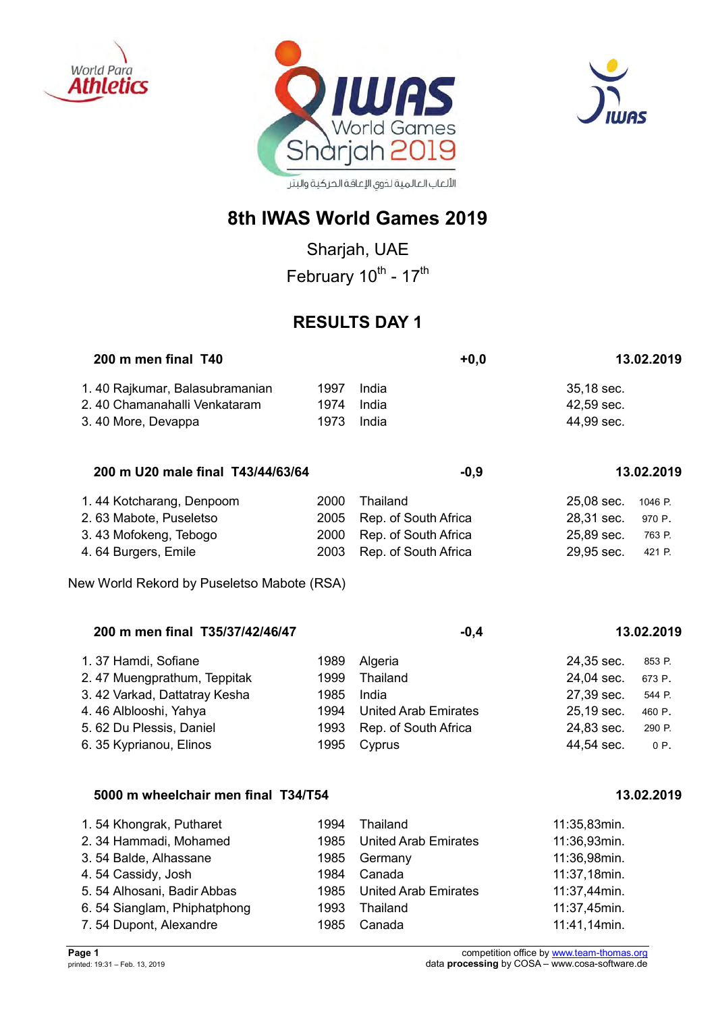





## **8th IWAS World Games 2019**

Sharjah, UAE February 10<sup>th</sup> - 17<sup>th</sup>

## **RESULTS DAY 1**

| 200 m men final T40            |      |       | $+0.0$ | 13.02.2019 |
|--------------------------------|------|-------|--------|------------|
| 1.40 Rajkumar, Balasubramanian | 1997 | India |        | 35,18 sec. |
| 2.40 Chamanahalli Venkataram   | 1974 | India |        | 42.59 sec. |
| 3.40 More, Devappa             | 1973 | India |        | 44.99 sec. |

| 200 m U20 male final T43/44/63/64 | -0.9 | 13.02.2019 |
|-----------------------------------|------|------------|
|                                   |      |            |

| 1.44 Kotcharang, Denpoom | 2000 Thailand             | 25,08 sec. 1046 P. |        |
|--------------------------|---------------------------|--------------------|--------|
| 2.63 Mabote, Puseletso   | 2005 Rep. of South Africa | 28,31 sec. 970 P.  |        |
| 3.43 Mofokeng, Tebogo    | 2000 Rep. of South Africa | 25,89 sec.         | 763 P. |
| 4.64 Burgers, Emile      | 2003 Rep. of South Africa | 29,95 sec. 421 P.  |        |

New World Rekord by Puseletso Mabote (RSA)

| 200 m men final T35/37/42/46/47 |      | $-0.4$                      |            | 13.02.2019 |
|---------------------------------|------|-----------------------------|------------|------------|
| 1.37 Hamdi, Sofiane             | 1989 | Algeria                     | 24,35 sec. | 853 P.     |
| 2.47 Muengprathum, Teppitak     | 1999 | Thailand                    | 24,04 sec. | 673 P.     |
| 3.42 Varkad, Dattatray Kesha    | 1985 | India                       | 27,39 sec. | 544 P.     |
| 4.46 Alblooshi, Yahya           | 1994 | <b>United Arab Emirates</b> | 25,19 sec. | 460 P.     |
| 5.62 Du Plessis, Daniel         | 1993 | Rep. of South Africa        | 24,83 sec. | 290 P.     |
| 6. 35 Kyprianou, Elinos         | 1995 | Cyprus                      | 44,54 sec. | $0P$ .     |

#### **5000 m wheelchair men final T34/T54 13.02.2019**

| 1.54 Khongrak, Putharet     | 1994 | Thailand                    | 11:35,83min. |
|-----------------------------|------|-----------------------------|--------------|
| 2. 34 Hammadi, Mohamed      | 1985 | <b>United Arab Emirates</b> | 11:36,93min. |
| 3.54 Balde, Alhassane       | 1985 | Germany                     | 11:36,98min. |
| 4.54 Cassidy, Josh          | 1984 | Canada                      | 11:37,18min. |
| 5.54 Alhosani, Badir Abbas  |      | 1985 United Arab Emirates   | 11:37,44min. |
| 6.54 Sianglam, Phiphatphong | 1993 | Thailand                    | 11:37,45min. |
| 7.54 Dupont, Alexandre      | 1985 | Canada                      | 11:41,14min. |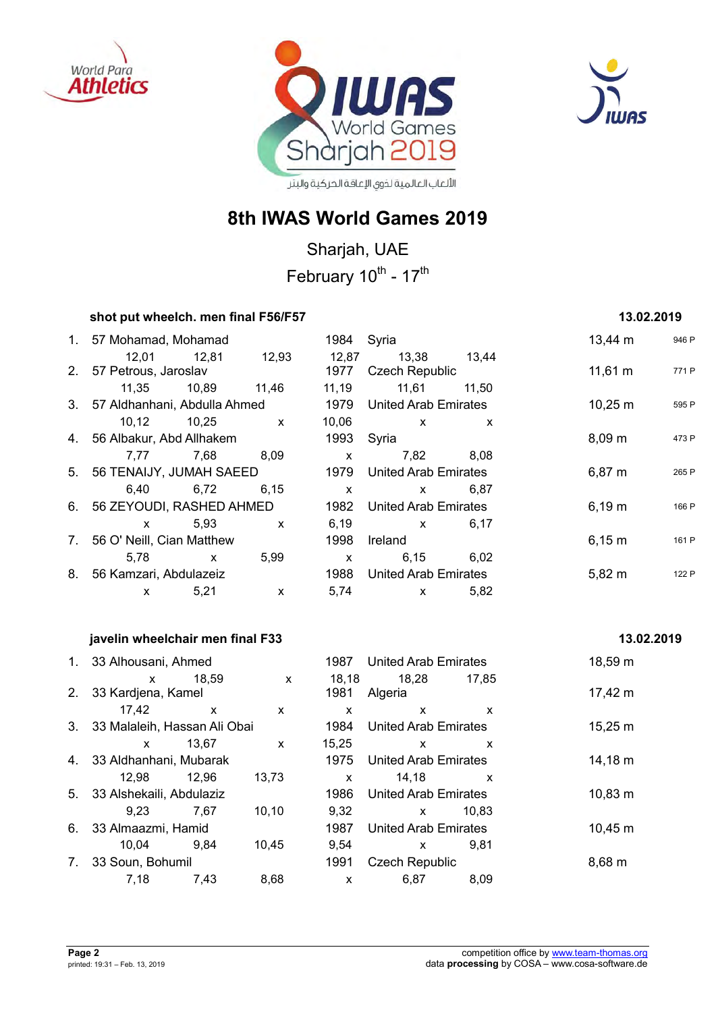





## **8th IWAS World Games 2019**

Sharjah, UAE February 10<sup>th</sup> - 17<sup>th</sup>

| shot put wheelch. men final F56/F57                                                |              |               |                                                                                                                                                                                                                                                                                                  |              | 13.02.2019   |       |
|------------------------------------------------------------------------------------|--------------|---------------|--------------------------------------------------------------------------------------------------------------------------------------------------------------------------------------------------------------------------------------------------------------------------------------------------|--------------|--------------|-------|
| 1. 57 Mohamad, Mohamad                                                             |              | 1984 Syria    |                                                                                                                                                                                                                                                                                                  |              | 13,44 m      | 946 P |
| 12,01  12,81  12,93                                                                |              | 12,87         | 13,38 13,44                                                                                                                                                                                                                                                                                      |              |              |       |
| 2. 57 Petrous, Jaroslav                                                            |              | 1977          | Czech Republic                                                                                                                                                                                                                                                                                   |              | $11,61 \; m$ | 771 P |
| 11,35 10,89 11,46                                                                  |              |               |                                                                                                                                                                                                                                                                                                  |              |              |       |
| 3. 57 Aldhanhani, Abdulla Ahmed                                                    |              |               | 1979 United Arab Emirates                                                                                                                                                                                                                                                                        |              | $10,25 \; m$ | 595 P |
| 10,12 10,25 x                                                                      |              |               | $10,06$ x                                                                                                                                                                                                                                                                                        | X            |              |       |
| 4. 56 Albakur, Abd Allhakem                                                        |              | 1993          | Syria                                                                                                                                                                                                                                                                                            |              | 8,09 m       | 473 P |
| 7,77 7,68 8,09                                                                     |              | $\mathsf{X}$  | 7,82                                                                                                                                                                                                                                                                                             | 8,08         |              |       |
| 5. 56 TENAIJY, JUMAH SAEED                                                         |              | 1979          | <b>United Arab Emirates</b>                                                                                                                                                                                                                                                                      |              | $6,87 \; m$  | 265 P |
| 6,72<br>6,40                                                                       | 6, 15        | $\mathsf{X}$  | $\mathsf{X}$ and $\mathsf{X}$ and $\mathsf{X}$ are $\mathsf{X}$ and $\mathsf{X}$ are $\mathsf{X}$ and $\mathsf{X}$ are $\mathsf{X}$ and $\mathsf{X}$ are $\mathsf{X}$ and $\mathsf{X}$ are $\mathsf{X}$ and $\mathsf{X}$ are $\mathsf{X}$ and $\mathsf{X}$ are $\mathsf{X}$ and $\mathsf{X}$ are | 6,87         |              |       |
| 6. 56 ZEYOUDI, RASHED AHMED                                                        |              | 1982          | <b>United Arab Emirates</b>                                                                                                                                                                                                                                                                      |              | 6,19 m       | 166 P |
| 5,93<br>$\mathsf{X}$ and $\mathsf{X}$ and $\mathsf{X}$ are the set of $\mathsf{X}$ | $\mathsf{X}$ | 6, 19         | $\mathsf{X}$ and $\mathsf{X}$ and $\mathsf{X}$ are $\mathsf{X}$ and $\mathsf{X}$ are $\mathsf{X}$ and $\mathsf{X}$ are $\mathsf{X}$ and $\mathsf{X}$ are $\mathsf{X}$ and $\mathsf{X}$ are $\mathsf{X}$ and $\mathsf{X}$ are $\mathsf{X}$ and $\mathsf{X}$ are $\mathsf{X}$ and $\mathsf{X}$ are | 6,17         |              |       |
| 7. 56 O' Neill, Cian Matthew                                                       |              | 1998          | Ireland                                                                                                                                                                                                                                                                                          |              | 6,15 m       | 161 P |
| 5,78 x 5,99                                                                        |              | $\mathsf{X}$  | 6,15                                                                                                                                                                                                                                                                                             | 6,02         |              |       |
| 8. 56 Kamzari, Abdulazeiz                                                          |              | 1988          | <b>United Arab Emirates</b>                                                                                                                                                                                                                                                                      |              | $5,82 \; m$  | 122 P |
| 5,21<br>$\mathsf{x}$                                                               | $\mathsf{X}$ | 5,74          | $\mathbf x$                                                                                                                                                                                                                                                                                      | 5,82         |              |       |
| javelin wheelchair men final F33                                                   |              |               |                                                                                                                                                                                                                                                                                                  |              | 13.02.2019   |       |
|                                                                                    |              | 1987          | <b>United Arab Emirates</b>                                                                                                                                                                                                                                                                      |              |              |       |
| 1. 33 Alhousani, Ahmed                                                             |              |               |                                                                                                                                                                                                                                                                                                  |              | 18,59 m      |       |
| 18,59<br>$\mathsf{X}$<br>2. 33 Kardjena, Kamel                                     | $\mathsf{x}$ | 18,18<br>1981 | 18,28 17,85<br>Algeria                                                                                                                                                                                                                                                                           |              | $17,42 \; m$ |       |
| $17,42 \times$                                                                     | $\mathsf{x}$ | $\mathsf{X}$  | $\mathsf{X}$                                                                                                                                                                                                                                                                                     | $\mathsf{x}$ |              |       |
| 3. 33 Malaleih, Hassan Ali Obai                                                    |              | 1984          | United Arab Emirates                                                                                                                                                                                                                                                                             |              | $15,25 \; m$ |       |
| x 13,67                                                                            | $\mathsf{x}$ | 15,25         | $\mathsf{X}$                                                                                                                                                                                                                                                                                     | X            |              |       |
| 4. 33 Aldhanhani, Mubarak                                                          |              | 1975          | <b>United Arab Emirates</b>                                                                                                                                                                                                                                                                      |              | $14,18 \; m$ |       |
|                                                                                    |              |               |                                                                                                                                                                                                                                                                                                  |              |              |       |
| 12,98 12,96<br>13,73                                                               |              | $\mathsf{X}$  | 14, 18                                                                                                                                                                                                                                                                                           | $\mathsf{x}$ |              |       |
| 5. 33 Alshekaili, Abdulaziz                                                        |              | 1986          | <b>United Arab Emirates</b>                                                                                                                                                                                                                                                                      |              | $10,83 \; m$ |       |
| 9,23<br>7,67                                                                       | 10, 10       | 9,32          | $\mathsf{X}$                                                                                                                                                                                                                                                                                     | 10,83        |              |       |

6. 33 Almaazmi, Hamid 1987 United Arab Emirates 10,45 m

7. 33 Soun, Bohumil 1991 Czech Republic 8,68 m

10,04 9,84 10,45 9,54 x 9,81

7,18 7,43 8,68 x 6,87 8,09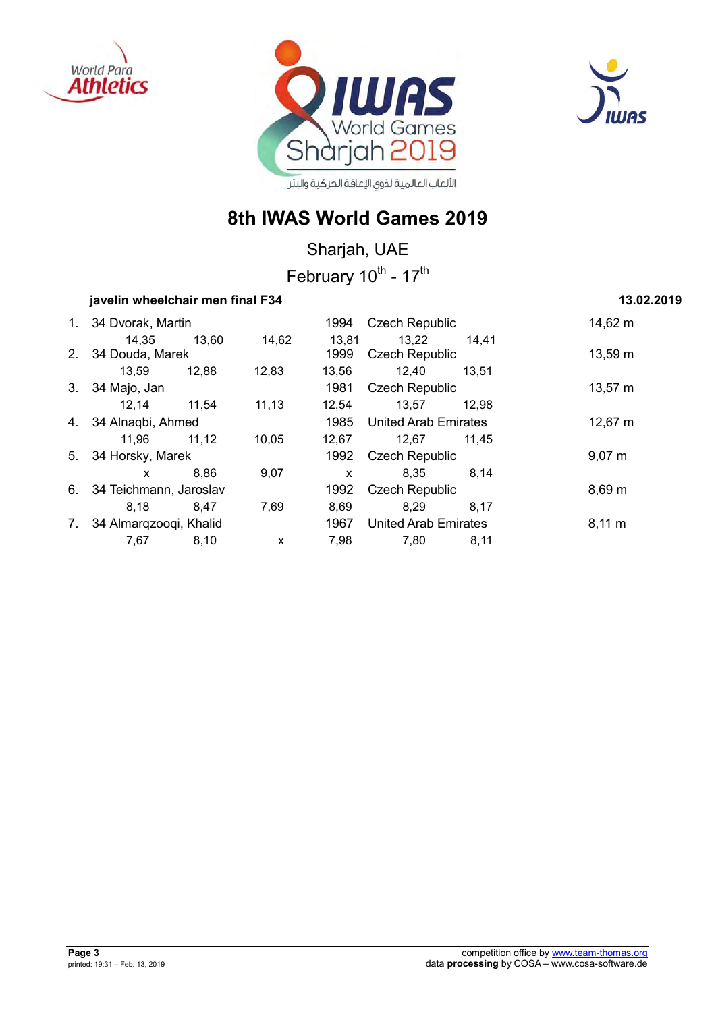





## **8th IWAS World Games 2019**

Sharjah, UAE

February 10<sup>th</sup> - 17<sup>th</sup>

## **javelin wheelchair men final F34 13.02.2019**

|    | 1. 34 Dvorak, Martin      |       |        | 1994 Czech Republic |                             | 14,62 m |              |
|----|---------------------------|-------|--------|---------------------|-----------------------------|---------|--------------|
|    | 14,35                     | 13,60 | 14,62  | 13,81               | 13,22                       | 14,41   |              |
|    | 2. 34 Douda, Marek        |       |        | 1999                | <b>Czech Republic</b>       |         | 13,59 m      |
|    | 13,59                     | 12,88 | 12,83  | 13,56               | 12,40                       | 13.51   |              |
|    | 3. 34 Majo, Jan           |       |        | 1981                | <b>Czech Republic</b>       |         | $13,57 \; m$ |
|    | 12,14 11,54               |       | 11, 13 | 12,54               | 13,57                       | 12.98   |              |
|    | 4. 34 Alnagbi, Ahmed      |       |        |                     | 1985 United Arab Emirates   |         | $12,67 \; m$ |
|    | 11,96 11,12               |       | 10,05  | 12,67               | 12,67                       | 11,45   |              |
|    | 5. 34 Horsky, Marek       |       |        | 1992                | <b>Czech Republic</b>       |         | $9,07 \; m$  |
|    | $\mathbf{x}$              | 8,86  | 9,07   | $\mathsf{x}$        | 8,35                        | 8,14    |              |
|    | 6. 34 Teichmann, Jaroslav |       |        | 1992                | <b>Czech Republic</b>       |         | $8,69 \; m$  |
|    | 8.18                      | 8.47  | 7,69   | 8,69                | 8.29                        | 8.17    |              |
| 7. | 34 Almargzoogi, Khalid    |       |        | 1967                | <b>United Arab Emirates</b> |         | $8,11 \, m$  |
|    | 7,67                      | 8,10  | X      | 7,98                | 7.80                        | 8,11    |              |
|    |                           |       |        |                     |                             |         |              |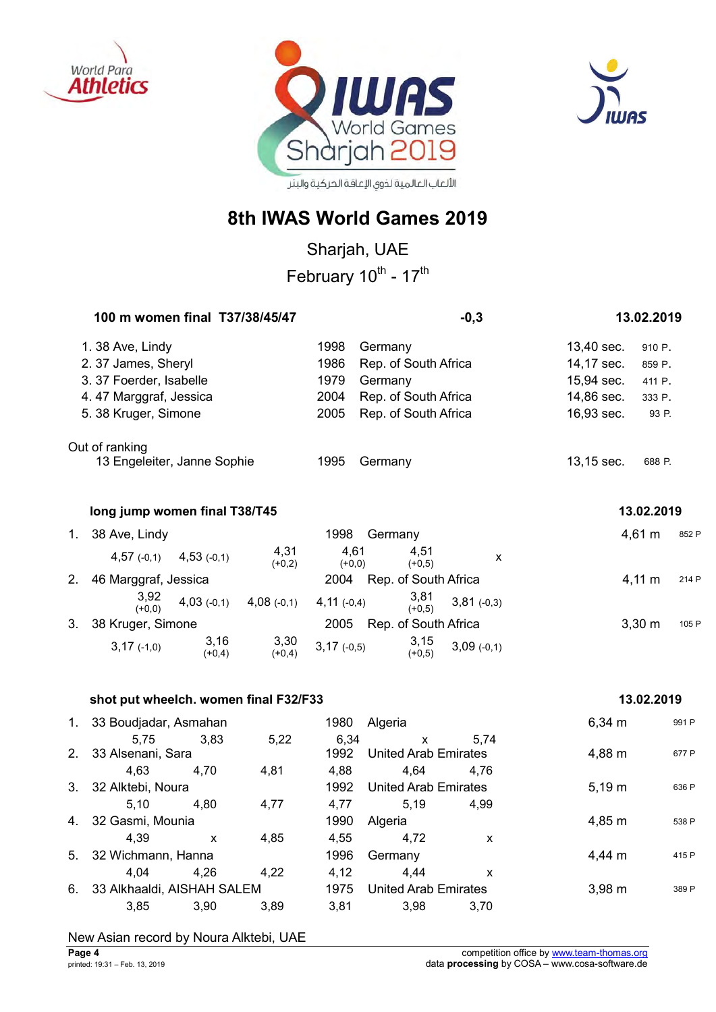





## **8th IWAS World Games 2019**

Sharjah, UAE

February 10<sup>th</sup> - 17<sup>th</sup>

| 100 m women final T37/38/45/47 |                                   |              | $-0,3$                               |              | 13.02.2019 |             |       |
|--------------------------------|-----------------------------------|--------------|--------------------------------------|--------------|------------|-------------|-------|
| 1.38 Ave, Lindy                |                                   | 1998         | Germany                              |              | 13,40 sec. | 910 P.      |       |
| 2.37 James, Sheryl             |                                   | 1986         | Rep. of South Africa                 |              | 14,17 sec. | 859 P.      |       |
| 3.37 Foerder, Isabelle         |                                   | 1979         | Germany                              |              | 15,94 sec. | 411 P.      |       |
| 4.47 Marggraf, Jessica         |                                   | 2004         | Rep. of South Africa                 |              | 14,86 sec. | 333 P.      |       |
| 5. 38 Kruger, Simone           |                                   | 2005         | Rep. of South Africa                 |              | 16,93 sec. | 93 P.       |       |
| Out of ranking                 |                                   |              |                                      |              |            |             |       |
| 13 Engeleiter, Janne Sophie    |                                   | 1995         | Germany                              |              | 13,15 sec. | 688 P.      |       |
| long jump women final T38/T45  |                                   |              |                                      |              |            | 13.02.2019  |       |
| 1.<br>38 Ave, Lindy            |                                   | 1998         | Germany                              |              |            | $4,61 \; m$ | 852 F |
| $4,57$ (-0,1)                  | 4,31<br>$4,53$ (-0,1)<br>$(+0,2)$ |              | 4,61<br>4,51<br>$(+0,0)$<br>$(+0,5)$ | X            |            |             |       |
| 2.<br>46 Marggraf, Jessica     |                                   | 2004         | Rep. of South Africa                 |              |            | $4,11 \; m$ | 214 F |
| 3,92<br>$(+0,0)$               | $4,03$ (-0,1)<br>$4,08$ (-0,1)    | $4,11(-0,4)$ | 3,81<br>$(+0,5)$                     | $3,81(-0,3)$ |            |             |       |

3. 38 Kruger, Simone 2005 Rep. of South Africa 3,30 m 105 P 3,17 (-1,0) 3,16  $(+0,4)$ 3,30  $(+0,4)$ 3,17 (-0,5) 3,15  $(+0,5)$ 3,09 (-0,1)

#### **shot put wheelch. women final F32/F33 13.02.2019**

| 1. | 33 Boudjadar, Asmahan      |                           |      | 1980                        | Algeria                     |                    | $6,34 \; m$ | 991 P |
|----|----------------------------|---------------------------|------|-----------------------------|-----------------------------|--------------------|-------------|-------|
|    | 5.75                       | 3,83                      | 5,22 | 6,34                        | X                           | 5.74               |             |       |
| 2. | 33 Alsenani, Sara          |                           |      | 1992                        | United Arab Emirates        |                    | 4,88 m      | 677 P |
|    | 4.63                       | 4.70                      | 4.81 | 4.88                        | 4.64                        | 4.76               |             |       |
|    | 3. 32 Alktebi, Noura       |                           |      | 1992                        | <b>United Arab Emirates</b> |                    | $5,19 \; m$ | 636 P |
|    | 5.10                       | 4.80                      | 4,77 | 4.77                        | 5.19                        | 4.99               |             |       |
|    | 4. 32 Gasmi, Mounia        |                           |      | 1990                        | Algeria                     |                    | 4,85 m      | 538 P |
|    | 4.39                       | $\boldsymbol{\mathsf{x}}$ | 4.85 | 4.55                        | 4.72                        | X                  |             |       |
|    | 5. 32 Wichmann, Hanna      |                           |      | 1996                        | Germany                     | 4,44 m             |             | 415 P |
|    | 4.04                       | 4.26                      | 4.22 | 4.12                        | 4.44                        | x                  |             |       |
| 6. | 33 Alkhaaldi, AISHAH SALEM |                           | 1975 | <b>United Arab Emirates</b> |                             | $3,98 \, \text{m}$ | 389 P       |       |
|    | 3.85                       | 3,90                      | 3.89 | 3,81                        | 3.98                        | 3.70               |             |       |

#### New Asian record by Noura Alktebi, UAE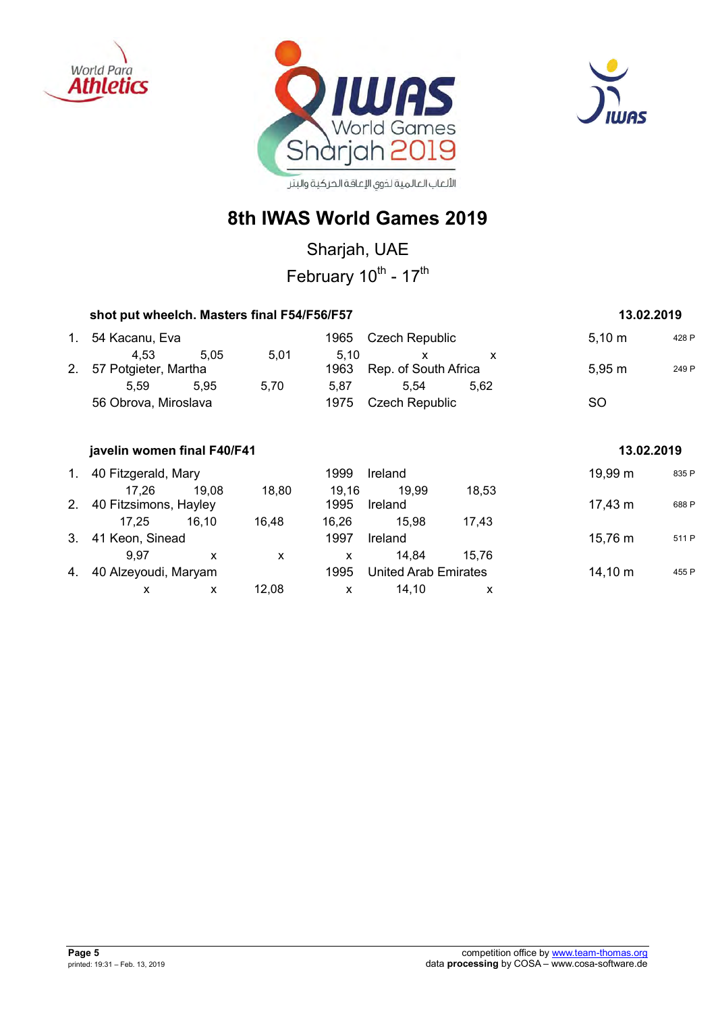





## **8th IWAS World Games 2019**

Sharjah, UAE

February 10<sup>th</sup> - 17<sup>th</sup>

|                | shot put wheelch. Masters final F54/F56/F57 | 13.02.2019   |              |               |                                      |       |              |       |
|----------------|---------------------------------------------|--------------|--------------|---------------|--------------------------------------|-------|--------------|-------|
| 1.             | 54 Kacanu, Eva                              |              |              | 1965          | Czech Republic                       |       | $5,10 \; m$  | 428 P |
| 2.             | 4,53<br>57 Potgieter, Martha                | 5,05         | 5,01         | 5,10<br>1963  | $\mathsf{x}$<br>Rep. of South Africa | X     | 5,95 m       | 249 P |
|                | 5,59                                        | 5,95         | 5,70         | 5,87          | 5,54                                 | 5,62  |              |       |
|                | 56 Obrova, Miroslava                        |              |              | 1975          | <b>Czech Republic</b>                |       | <b>SO</b>    |       |
|                | javelin women final F40/F41                 |              |              |               |                                      |       | 13.02.2019   |       |
| 1.             | 40 Fitzgerald, Mary                         |              |              | 1999          | Ireland                              |       | 19,99 m      | 835 P |
| 2 <sub>1</sub> | 17.26<br>40 Fitzsimons, Hayley              | 19,08        | 18,80        | 19,16<br>1995 | 19,99<br>Ireland                     | 18,53 | 17,43 m      | 688 P |
|                | 17,25                                       | 16,10        | 16,48        | 16,26         | 15,98                                | 17,43 |              |       |
| 3.             | 41 Keon, Sinead                             |              |              | 1997          | Ireland                              |       | 15,76 m      | 511 P |
|                | 9,97                                        | $\mathsf{x}$ | $\mathsf{x}$ | X             | 14,84                                | 15,76 |              |       |
| 4.             | 40 Alzeyoudi, Maryam                        |              |              | 1995          | United Arab Emirates                 |       | $14,10 \; m$ | 455 P |
|                | X                                           | X            | 12,08        | $\mathsf{x}$  | 14,10                                | x     |              |       |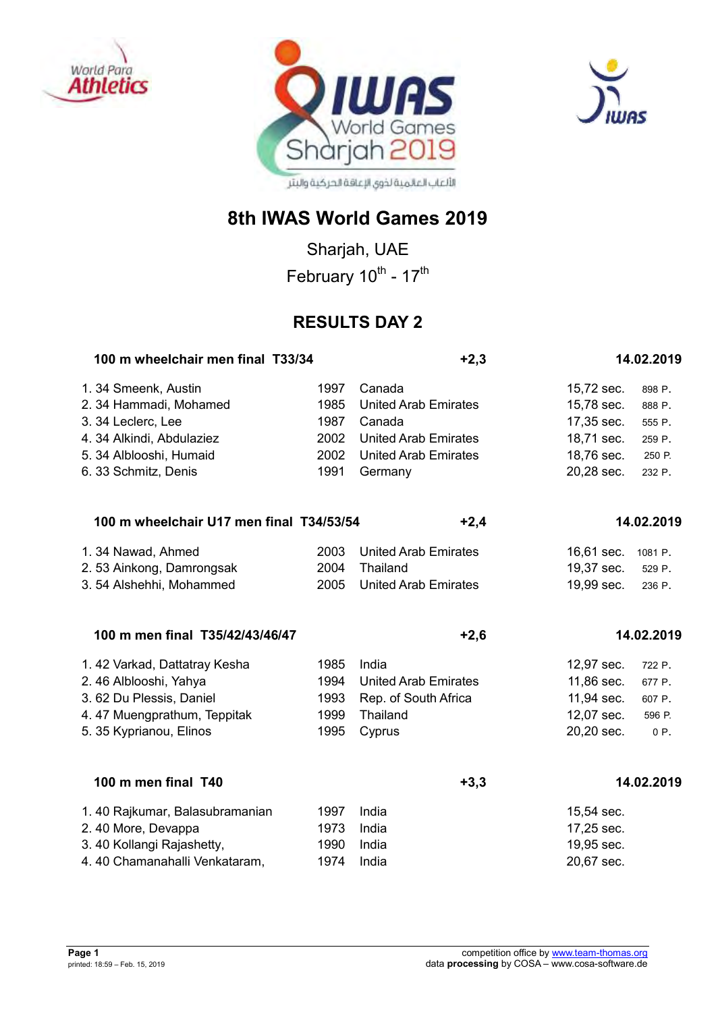





Sharjah, UAE February 10<sup>th</sup> - 17<sup>th</sup>

## **RESULTS DAY 2**

| 100 m wheelchair men final T33/34        |      | $+2,3$                      |            | 14.02.2019 |  |
|------------------------------------------|------|-----------------------------|------------|------------|--|
| 1.34 Smeenk, Austin                      | 1997 | Canada                      | 15,72 sec. | 898 P.     |  |
| 2. 34 Hammadi, Mohamed                   | 1985 | <b>United Arab Emirates</b> | 15,78 sec. | 888 P.     |  |
| 3. 34 Leclerc, Lee                       | 1987 | Canada                      | 17,35 sec. | 555 P.     |  |
| 4. 34 Alkindi, Abdulaziez                | 2002 | <b>United Arab Emirates</b> | 18,71 sec. | 259 P.     |  |
| 5. 34 Alblooshi, Humaid                  | 2002 | <b>United Arab Emirates</b> | 18,76 sec. | 250 P.     |  |
| 6. 33 Schmitz, Denis                     | 1991 | Germany                     | 20,28 sec. | 232 P.     |  |
| 100 m wheelchair U17 men final T34/53/54 |      | $+2,4$                      |            | 14.02.2019 |  |
| 1.34 Nawad, Ahmed                        | 2003 | <b>United Arab Emirates</b> | 16,61 sec. | 1081 P.    |  |
| 2.53 Ainkong, Damrongsak                 | 2004 | Thailand                    | 19,37 sec. | 529 P.     |  |
| 3.54 Alshehhi, Mohammed                  | 2005 | <b>United Arab Emirates</b> | 19,99 sec. | 236 P.     |  |
| 100 m men final T35/42/43/46/47          |      | $+2,6$                      |            | 14.02.2019 |  |
| 1.42 Varkad, Dattatray Kesha             | 1985 | India                       | 12,97 sec. | 722 P.     |  |
| 2.46 Alblooshi, Yahya                    | 1994 | <b>United Arab Emirates</b> | 11,86 sec. | 677 P.     |  |
| 3.62 Du Plessis, Daniel                  | 1993 | Rep. of South Africa        | 11,94 sec. | 607 P.     |  |
| 4.47 Muengprathum, Teppitak              | 1999 | Thailand                    | 12,07 sec. | 596 P.     |  |
| 5. 35 Kyprianou, Elinos                  | 1995 | Cyprus                      | 20,20 sec. | 0 P.       |  |
| 100 m men final T40                      |      | $+3,3$                      |            | 14.02.2019 |  |
| 1.40 Rajkumar, Balasubramanian           | 1997 | India                       | 15,54 sec. |            |  |
| 2.40 More, Devappa                       | 1973 | India                       | 17,25 sec. |            |  |
| 3.40 Kollangi Rajashetty,                | 1990 | India                       | 19,95 sec. |            |  |
| 4.40 Chamanahalli Venkataram,            | 1974 | India                       | 20,67 sec. |            |  |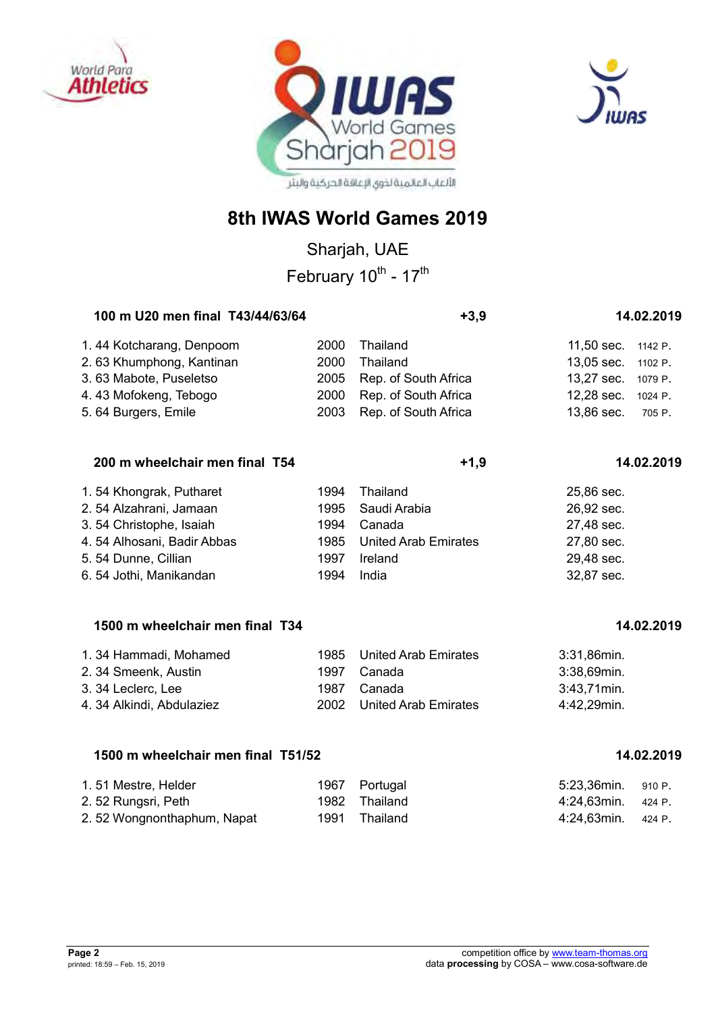





Sharjah, UAE February 10<sup>th</sup> - 17<sup>th</sup>

| 100 m U20 men final T43/44/63/64 |      | $+3.9$                    | 14.02.2019         |  |  |
|----------------------------------|------|---------------------------|--------------------|--|--|
| 1.44 Kotcharang, Denpoom         | 2000 | Thailand                  | 11,50 sec. 1142 P. |  |  |
| 2.63 Khumphong, Kantinan         | 2000 | Thailand                  | 13,05 sec. 1102 P. |  |  |
| 3.63 Mabote, Puseletso           |      | 2005 Rep. of South Africa | 13,27 sec. 1079 P. |  |  |
| 4.43 Mofokeng, Tebogo            | 2000 | Rep. of South Africa      | 12,28 sec. 1024 P. |  |  |
| 5.64 Burgers, Emile              |      | 2003 Rep. of South Africa | 13,86 sec. 705 P.  |  |  |

| 200 m wheelchair men final T54 |      | $+1,9$                      | 14.02.2019  |
|--------------------------------|------|-----------------------------|-------------|
| 1.54 Khongrak, Putharet        | 1994 | Thailand                    | 25,86 sec.  |
| 2.54 Alzahrani, Jamaan         | 1995 | Saudi Arabia                | 26,92 sec.  |
| 3.54 Christophe, Isaiah        | 1994 | Canada                      | 27,48 sec.  |
| 4.54 Alhosani, Badir Abbas     | 1985 | <b>United Arab Emirates</b> | 27,80 sec.  |
| $E E A$ Dunno Cillian          | 1007 | <b>Irolond</b>              | $20.49$ and |

#### 5. 54 Dunne, Cillian 1997 Ireland 1997 Ireland 29,48 sec.<br>6. 54 Jothi. Manikandan 1994 India 6. 54 Jothi, Manikandan 1994 India 32,87 sec.

## 1500 m wheelchair men final T34 **1500 m** 14.02.2019

| 1.34 Hammadi, Mohamed     |      | 1985 United Arab Emirates | 3:31,86min.  |
|---------------------------|------|---------------------------|--------------|
| 2. 34 Smeenk, Austin      | 1997 | Canada                    | 3:38,69min.  |
| 3. 34 Leclerc, Lee        | 1987 | Canada                    | 3:43.71 min. |
| 4. 34 Alkindi, Abdulaziez |      | 2002 United Arab Emirates | 4:42.29min.  |

## **1500 m wheelchair men final T51/52 14.02.2019**

| 1.51 Mestre, Helder        | 1967 Portugal | 5:23,36min. 910 P.      |  |
|----------------------------|---------------|-------------------------|--|
| 2.52 Rungsri, Peth         | 1982 Thailand | $4:24.63$ min. $424$ P. |  |
| 2.52 Wongnonthaphum, Napat | 1991 Thailand | $4:24,63$ min. $424$ P. |  |

| <u>i. 51 Mesue, Helut</u> |
|---------------------------|
| 2.52 Rungsri, Peth        |
| 2.52 Wongnonthar          |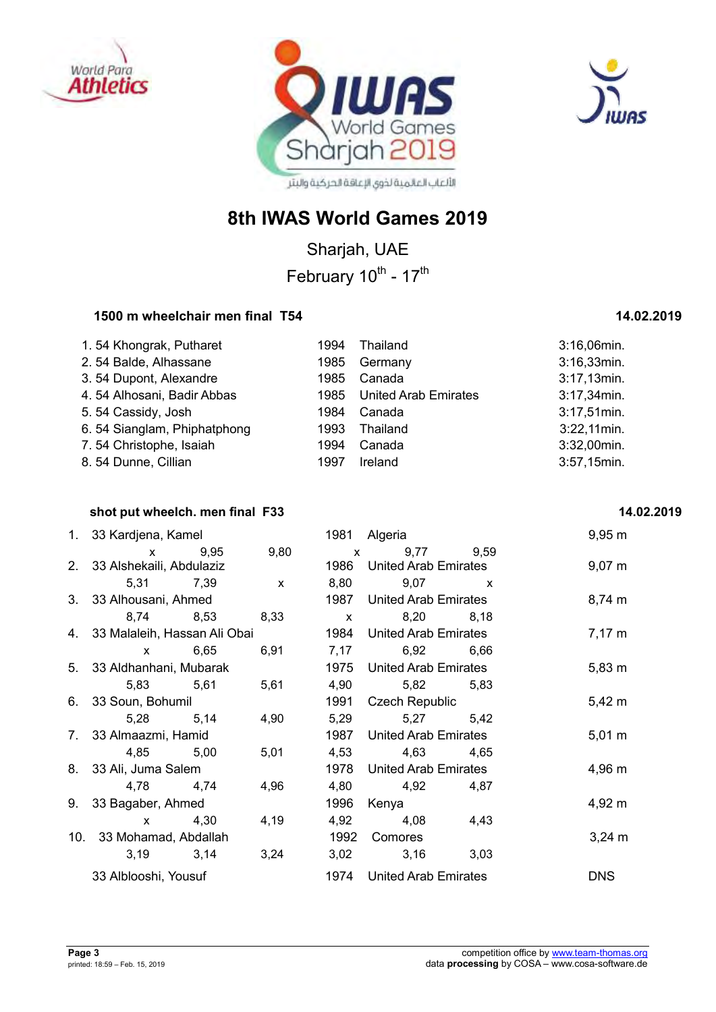





Sharjah, UAE February 10<sup>th</sup> - 17<sup>th</sup>

## 1500 m wheelchair men final T54 **1500 m** 14.02.2019

| 1.54 Khongrak, Putharet     | 1994 | Thailand                    | 3:16,06min.    |
|-----------------------------|------|-----------------------------|----------------|
| 2.54 Balde, Alhassane       | 1985 | Germany                     | $3:16,33$ min. |
| 3.54 Dupont, Alexandre      | 1985 | Canada                      | 3:17,13min.    |
| 4.54 Alhosani, Badir Abbas  | 1985 | <b>United Arab Emirates</b> | $3:17,34$ min. |
| 5.54 Cassidy, Josh          | 1984 | Canada                      | $3:17,51$ min. |
| 6.54 Sianglam, Phiphatphong | 1993 | Thailand                    | $3:22,11$ min. |
| 7.54 Christophe, Isaiah     | 1994 | Canada                      | 3:32,00min.    |
| 8.54 Dunne, Cillian         | 1997 | Ireland                     | 3:57,15min.    |

#### **shot put wheelch. men final F33** 14.02.2019

| 1. 33 Kardjena, Kamel           |           |              |      | 1981 Algeria              |      | $9,95 \, \text{m}$ |
|---------------------------------|-----------|--------------|------|---------------------------|------|--------------------|
| x 9,95 9,80                     |           |              |      | x 9,77 9,59               |      |                    |
| 2. 33 Alshekaili, Abdulaziz     |           |              |      | 1986 United Arab Emirates |      | $9,07 \; m$        |
|                                 | 5,31 7,39 | $\mathsf{X}$ | 8,80 | $9,07$ x                  |      |                    |
| 3. 33 Alhousani, Ahmed          |           |              |      | 1987 United Arab Emirates |      | $8,74 \, m$        |
|                                 | 8,74 8,53 | 8,33         |      | x 8,20 8,18               |      |                    |
| 4. 33 Malaleih, Hassan Ali Obai |           |              | 1984 | United Arab Emirates      |      | $7,17 \; m$        |
|                                 | x 6,65    | 6,91         |      | 7,17 6,92 6,66            |      |                    |
| 5. 33 Aldhanhani, Mubarak       |           |              |      | 1975 United Arab Emirates |      | $5,83 \; m$        |
|                                 | 5,83 5,61 | 5,61         |      | 4,90 5,82 5,83            |      |                    |
| 6. 33 Soun, Bohumil             |           |              |      | 1991 Czech Republic       |      | $5,42 \; m$        |
|                                 | 5,28 5,14 | 4,90         |      | 5,29 5,27 5,42            |      |                    |
| 7. 33 Almaazmi, Hamid           |           |              | 1987 | United Arab Emirates      |      | $5,01 \; m$        |
|                                 | 4,85 5,00 | 5,01         |      | 4,53 4,63 4,65            |      |                    |
| 8. 33 Ali, Juma Salem           |           |              |      | 1978 United Arab Emirates |      | $4,96 \; m$        |
|                                 | 4,78 4,74 | 4,96         |      | 4,80 4,92 4,87            |      |                    |
| 9. 33 Bagaber, Ahmed            |           |              | 1996 | Kenya                     |      | 4,92 m             |
| $x = 4,30$                      |           | 4,19         |      | 4,92 4,08                 | 4,43 |                    |
| 10. 33 Mohamad, Abdallah        |           |              |      | 1992 Comores              |      | $3,24 \, m$        |
|                                 | 3,19 3,14 | 3,24         |      | 3,02 3,16 3,03            |      |                    |
| 33 Alblooshi, Yousuf            |           |              |      | 1974 United Arab Emirates |      | <b>DNS</b>         |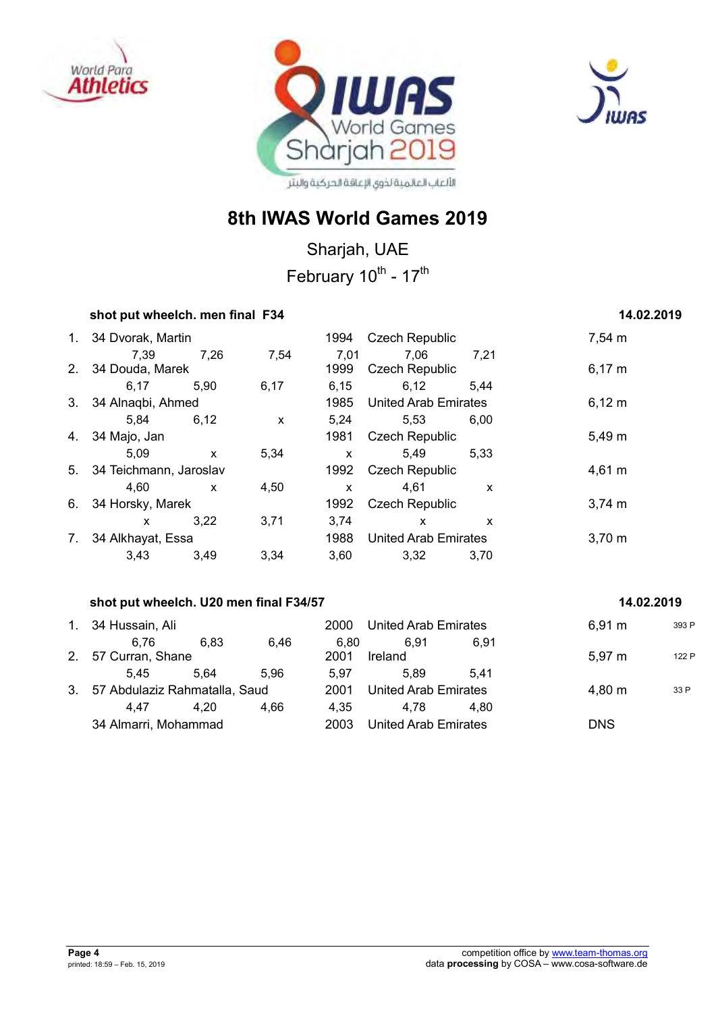





Sharjah, UAE February 10<sup>th</sup> - 17<sup>th</sup>

#### **shot put wheelch. men final F34** 14.02.2019

## 1. 34 Dvorak, Martin 1994 Czech Republic 7,54 m 7,39 7,26 7,54 7,01 7,06 7,21 2. 34 Douda, Marek 1999 Czech Republic 6,17 m 6,17 5,90 6,17 6,15 6,12 5,44 3. 34 Alnaqbi, Ahmed 1985 United Arab Emirates 6,12 m 5,84 6,12 x 5,24 5,53 6,00 4. 34 Majo, Jan 1981 Czech Republic 5,49 m 5,09 x 5,34 x 5,49 5,33 5. 34 Teichmann, Jaroslav 1992 Czech Republic 4,61 m 4,60 x 4,50 x 4,61 x 6. 34 Horsky, Marek 1992 Czech Republic 3,74 m x 3,22 3,71 3,74 x x 7. 34 Alkhayat, Essa 1988 United Arab Emirates 3,70 m 3,43 3,49 3,34 3,60 3,32 3,70

### **shot put wheelch. U20 men final F34/57** 14.02.2019 **14.02.2019**

## 1. 34 Hussain, Ali 2000 United Arab Emirates 6,91 m <sup>393</sup> <sup>P</sup> 6,76 6,83 6,46 6,80 6,91 6,91 2. 57 Curran, Shane 2001 Ireland 5,97 m 122 P 5,45 5,64 5,96 5,97 5,89 5,41 3. 57 Abdulaziz Rahmatalla, Saud 2001 United Arab Emirates 4,80 m 33 P 4,47 4,20 4,66 4,35 4,78 4,80 34 Almarri, Mohammad 2003 United Arab Emirates DNS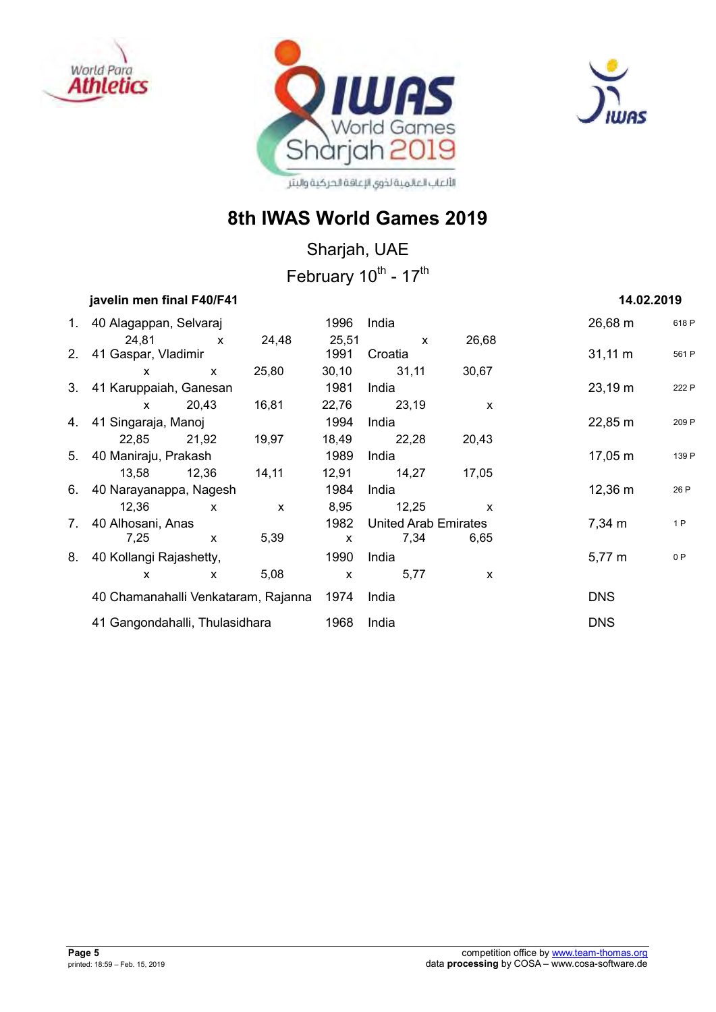





## **8th IWAS World Games 2019**

Sharjah, UAE February 10<sup>th</sup> - 17<sup>th</sup>

## *iavelin men final F40/F41* **<b>14.02.2019 14.02.2019**

| 1. 40 Alagappan, Selvaraj           |              |              | 1996         | India                |              | $26,68 \, \text{m}$ | 618 P |
|-------------------------------------|--------------|--------------|--------------|----------------------|--------------|---------------------|-------|
| 24,81                               | $\mathsf{X}$ | 24,48        | 25,51        | $\mathsf{x}$         | 26,68        |                     |       |
| 2. 41 Gaspar, Vladimir              |              |              | 1991         | Croatia              |              | $31,11 \; m$        | 561 P |
| $\mathsf{x}$                        | $\mathsf{x}$ | 25,80        |              | 30,10 31,11          | 30,67        |                     |       |
| 3. 41 Karuppaiah, Ganesan           |              |              | 1981         | India                |              | $23,19 \text{ m}$   | 222 P |
| $\mathbf{x}$ and $\mathbf{x}$       | 20,43        | 16,81        |              | 22,76 23,19          | X            |                     |       |
| 4. 41 Singaraja, Manoj              |              |              | 1994         | India                |              | $22,85 \; m$        | 209 P |
| 22,85 21,92                         |              | 19,97        |              | 18,49 22,28          | 20,43        |                     |       |
| 5. 40 Maniraju, Prakash             |              |              | 1989         | India                |              | 17,05 m             | 139 P |
| 13,58 12,36                         |              | 14, 11       |              | 12,91 14,27          | 17,05        |                     |       |
| 6. 40 Narayanappa, Nagesh           |              |              | 1984         | India                |              | 12,36 m             | 26 P  |
| 12,36                               | $\mathsf{x}$ | $\mathsf{x}$ | 8,95         | 12,25                | $\mathsf{x}$ |                     |       |
| 7. 40 Alhosani, Anas                |              |              | 1982         | United Arab Emirates |              | 7,34 m              | 1P    |
| 7.25                                | $\mathsf{x}$ | 5,39         | $\mathsf{x}$ | 7,34                 | 6.65         |                     |       |
| 8. 40 Kollangi Rajashetty,          |              |              | 1990         | India                |              | $5,77 \; m$         | 0P    |
| X                                   | X            | 5,08         | $\mathsf{x}$ | 5,77                 | X            |                     |       |
| 40 Chamanahalli Venkataram, Rajanna |              |              | 1974         | India                |              | <b>DNS</b>          |       |
| 41 Gangondahalli, Thulasidhara      |              |              |              | India                |              | <b>DNS</b>          |       |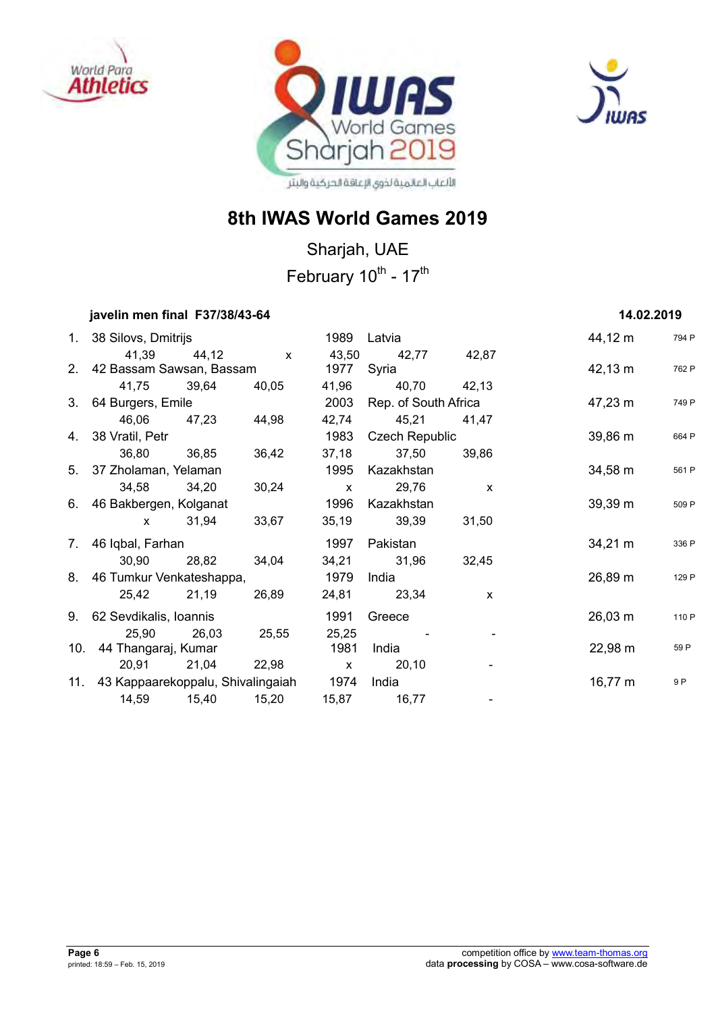





Sharjah, UAE February 10<sup>th</sup> - 17<sup>th</sup>

## **javelin men final F37/38/43-64 14.02.2019**

| 1. 38 Silovs, Dmitrijs                           |                           |       |       | 1989 Latvia                |              | 44,12 m           | 794 P |
|--------------------------------------------------|---------------------------|-------|-------|----------------------------|--------------|-------------------|-------|
|                                                  |                           |       |       |                            |              |                   |       |
| 2. 42 Bassam Sawsan, Bassam                      | 41,39 44,12 x             |       | 1977  | 43,50 42,77 42,87<br>Syria |              | 42,13 m           | 762 P |
|                                                  | 41,75 39,64 40,05         |       |       | 41,96 40,70 42,13          |              |                   |       |
| 3. 64 Burgers, Emile                             |                           |       | 2003  | Rep. of South Africa       |              | 47,23 m           | 749 P |
|                                                  | 46,06 47,23 44,98         |       |       | 42,74 45,21 41,47          |              |                   |       |
| 4. 38 Vratil, Petr                               |                           |       |       | 1983 Czech Republic        |              | 39,86 m           | 664 P |
|                                                  | 36,80 36,85               | 36,42 |       | 37,18 37,50                | 39,86        |                   |       |
| 5. 37 Zholaman, Yelaman                          |                           |       | 1995  | Kazakhstan                 |              | $34,58 \; m$      | 561 P |
| 34,58 34,20                                      |                           | 30,24 |       | x 29,76 x                  |              |                   |       |
| 6. 46 Bakbergen, Kolganat                        |                           |       | 1996  | Kazakhstan                 |              | $39,39 \text{ m}$ | 509 P |
|                                                  | x 31,94                   | 33,67 |       | 35,19 39,39 31,50          |              |                   |       |
| 7. 46 Iqbal, Farhan                              |                           |       | 1997  | Pakistan                   |              | $34,21 \text{ m}$ | 336 P |
|                                                  | 30,90 28,82               | 34,04 |       | 34,21 31,96                | 32,45        |                   |       |
| 8. 46 Tumkur Venkateshappa,                      |                           |       | 1979  | India                      |              | 26,89 m           | 129 P |
|                                                  | 25,42 21,19 26,89         |       |       | 24,81 23,34                | $\mathsf{x}$ |                   |       |
| 9. 62 Sevdikalis, Ioannis                        |                           |       | 1991  | Greece                     |              | $26,03 \; m$      | 110 P |
| 25,90 26,03                                      |                           | 25,55 | 25,25 |                            |              |                   |       |
| 10. 44 Thangaraj, Kumar                          |                           |       | 1981  | India                      |              | $22,98 \text{ m}$ | 59 P  |
|                                                  | 20,91 21,04 22,98 x 20,10 |       |       |                            |              |                   |       |
| 11. 43 Kappaarekoppalu, Shivalingaiah 1974 India |                           |       |       |                            |              | 16,77 m           | 9 P   |
|                                                  |                           |       |       | 15,87 16,77                |              |                   |       |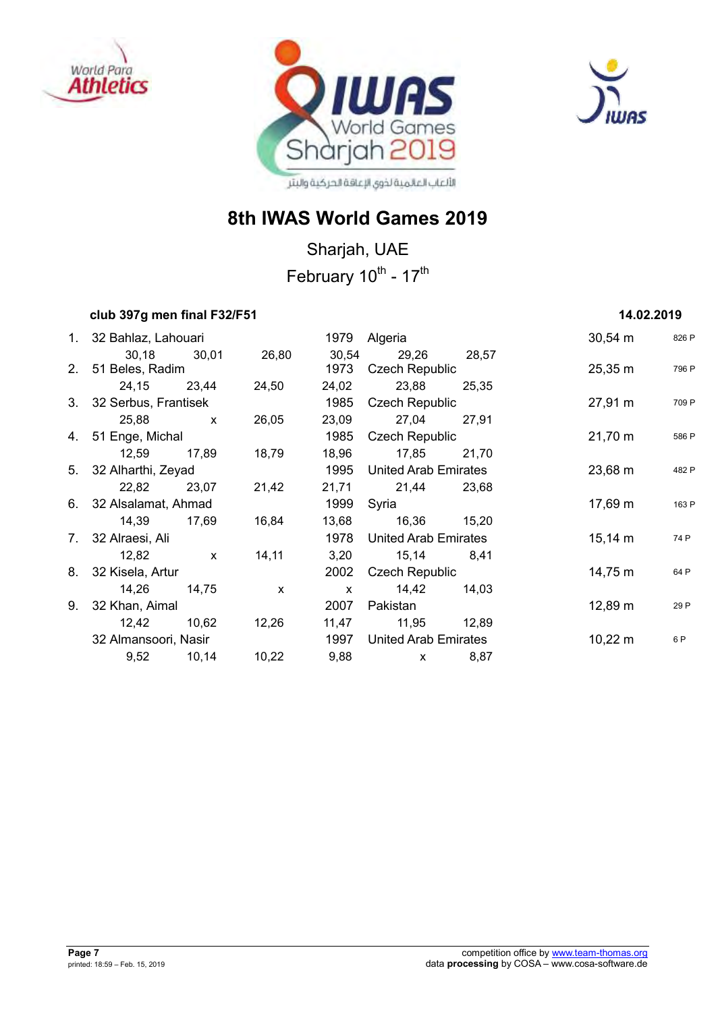





Sharjah, UAE February 10<sup>th</sup> - 17<sup>th</sup>

## *club* **397g men final F32/F51 <b>14.02.2019 14.02.2019**

| 1. 32 Bahlaz, Lahouari            |              |              |               | 1979 Algeria                   |       | $30,54 \, \text{m}$ | 826 P |
|-----------------------------------|--------------|--------------|---------------|--------------------------------|-------|---------------------|-------|
| 30,18 30,01<br>2. 51 Beles, Radim |              | 26,80        | 30,54<br>1973 | 29,26<br><b>Czech Republic</b> | 28,57 | $25,35 \, \text{m}$ | 796 P |
| 24,15 23,44                       |              | 24,50        | 24,02         | 23,88                          | 25,35 |                     |       |
| 3. 32 Serbus, Frantisek           |              |              | 1985          | Czech Republic                 |       | $27,91 \text{ m}$   | 709 P |
| 25,88 x                           |              | 26,05        |               | 23,09 27,04                    | 27,91 |                     |       |
| 4. 51 Enge, Michal                |              |              | 1985          | Czech Republic                 |       | $21,70 \; m$        | 586 P |
| 12,59                             | 17,89        | 18,79        | 18,96         | 17,85                          | 21,70 |                     |       |
| 5. 32 Alharthi, Zeyad             |              |              | 1995          | United Arab Emirates           |       | $23,68 \text{ m}$   | 482 P |
| 22,82 23,07                       |              | 21,42        |               | 21,71 21,44                    | 23,68 |                     |       |
| 6. 32 Alsalamat, Ahmad            |              |              | 1999          | Syria                          |       | 17,69 m             | 163 P |
| 14,39 17,69                       |              | 16,84        |               | 13,68 16,36 15,20              |       |                     |       |
| 7. 32 Alraesi, Ali                |              |              | 1978          | United Arab Emirates           |       | $15,14 \; m$        | 74 P  |
| 12,82                             | $\mathsf{X}$ | 14,11        |               | 3,20 15,14                     | 8,41  |                     |       |
| 8. 32 Kisela, Artur               |              |              | 2002          | Czech Republic                 |       | 14,75 m             | 64 P  |
| 14,26 14,75                       |              | $\mathbf{x}$ | $\mathsf{X}$  | 14,42                          | 14,03 |                     |       |
| 9. 32 Khan, Aimal                 |              |              | 2007          | Pakistan                       |       | $12,89 \; m$        | 29 P  |
| 12,42 10,62                       |              | 12,26        |               | 11,47 11,95 12,89              |       |                     |       |
| 32 Almansoori, Nasir              |              |              | 1997          | United Arab Emirates           |       | $10,22 \, \text{m}$ | 6 P   |
| 9,52 10,14                        |              | 10,22        | 9,88          | $\mathsf{x}$                   | 8,87  |                     |       |
|                                   |              |              |               |                                |       |                     |       |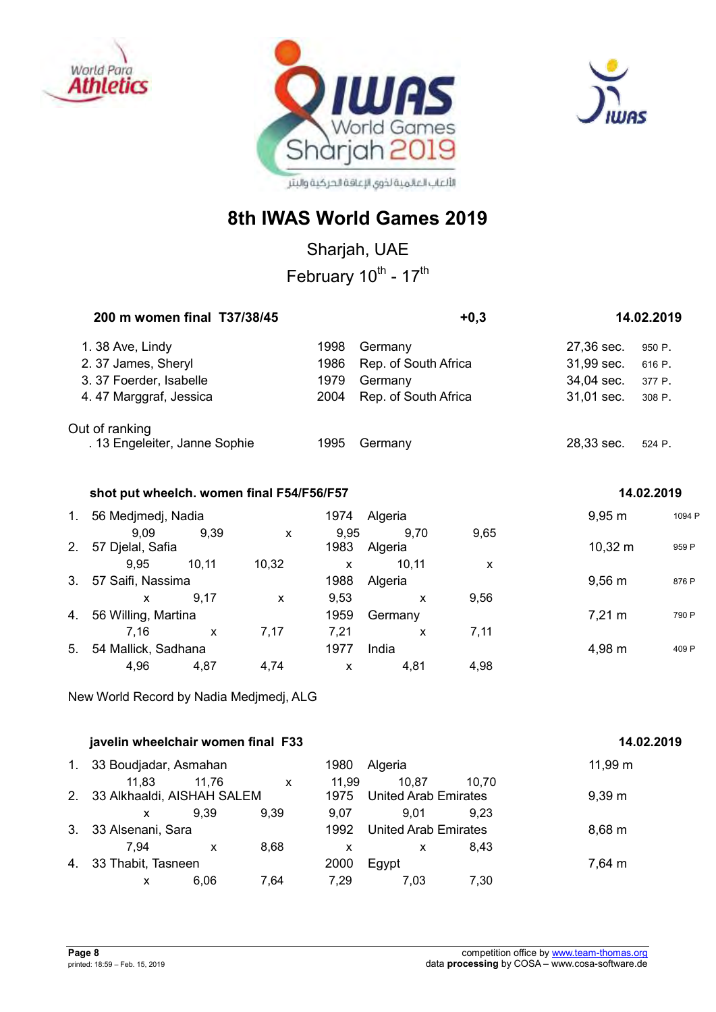





Sharjah, UAE

February 10<sup>th</sup> - 17<sup>th</sup>

|    | 200 m women final T37/38/45               |              |              |              |                      | $+0,3$ |                  | 14.02.2019 |  |
|----|-------------------------------------------|--------------|--------------|--------------|----------------------|--------|------------------|------------|--|
|    | 1.38 Ave, Lindy                           |              |              | 1998         | Germany              |        | 27,36 sec.       | 950 P.     |  |
|    | 2.37 James, Sheryl                        |              |              | 1986         | Rep. of South Africa |        | 31,99 sec.       | 616 P.     |  |
|    | 3. 37 Foerder, Isabelle                   |              |              | 1979         | Germany              |        | 34,04 sec.       | 377 P.     |  |
|    | 4.47 Marggraf, Jessica                    |              |              | 2004         | Rep. of South Africa |        | 31,01 sec.       | 308 P.     |  |
|    | Out of ranking                            |              |              |              |                      |        |                  |            |  |
|    | . 13 Engeleiter, Janne Sophie             |              |              | 1995         | Germany              |        | 28,33 sec.       | 524 P.     |  |
|    | shot put wheelch. women final F54/F56/F57 |              |              |              |                      |        |                  | 14.02.2019 |  |
|    |                                           |              |              |              |                      |        |                  |            |  |
| 1. | 56 Medjmedj, Nadia                        |              |              | 1974         | Algeria              |        | $9,95 \, m$      | 1094 F     |  |
| 2. | 9,09<br>57 Djelal, Safia                  | 9,39         | $\mathsf{x}$ | 9,95<br>1983 | 9,70<br>Algeria      | 9,65   | $10,32 \; m$     | 959 P      |  |
|    | 9,95                                      | 10, 11       | 10,32        | $\mathsf{x}$ | 10, 11               | X      |                  |            |  |
| 3. | 57 Saifi, Nassima                         |              |              | 1988         | Algeria              |        | $9,56 \, m$      | 876 P      |  |
|    | $\mathsf{x}$                              | 9,17         | $\mathsf{x}$ | 9,53         | $\mathsf{x}$         | 9,56   |                  |            |  |
| 4. | 56 Willing, Martina                       |              |              | 1959         | Germany              |        | $7,21 \text{ m}$ | 790 P      |  |
|    | 7,16                                      | $\mathsf{x}$ | 7,17         | 7,21         | X                    | 7,11   |                  |            |  |
| 5. | 54 Mallick, Sadhana                       |              |              | 1977         | India                |        | 4,98 m           | 409 P      |  |
|    | 4,96                                      | 4,87         | 4,74         | $\pmb{\chi}$ | 4,81                 | 4,98   |                  |            |  |
|    |                                           |              |              |              |                      |        |                  |            |  |

New World Record by Nadia Medjmedj, ALG

|    | javelin wheelchair women final F33     | 14.02.2019 |              |               |                                      |       |              |
|----|----------------------------------------|------------|--------------|---------------|--------------------------------------|-------|--------------|
| 1. | 33 Boudjadar, Asmahan                  |            |              | 1980          | Algeria                              |       | $11,99 \; m$ |
|    | 11.83<br>2. 33 Alkhaaldi, AISHAH SALEM | 11.76      | $\mathsf{x}$ | 11.99<br>1975 | 10.87<br><b>United Arab Emirates</b> | 10.70 | $9,39 \; m$  |
|    | X                                      | 9.39       | 9.39         | 9.07          | 9.01                                 | 9.23  |              |
| 3. | 33 Alsenani, Sara                      |            |              | 1992          | <b>United Arab Emirates</b>          |       | $8,68 \; m$  |
|    | 7.94                                   | x          | 8.68         | x             | x                                    | 8.43  |              |
| 4. | 33 Thabit, Tasneen                     |            |              | 2000          | Egypt                                |       | 7,64 m       |
|    | x                                      | 6.06       | 7.64         | 7.29          | 7.03                                 | 7.30  |              |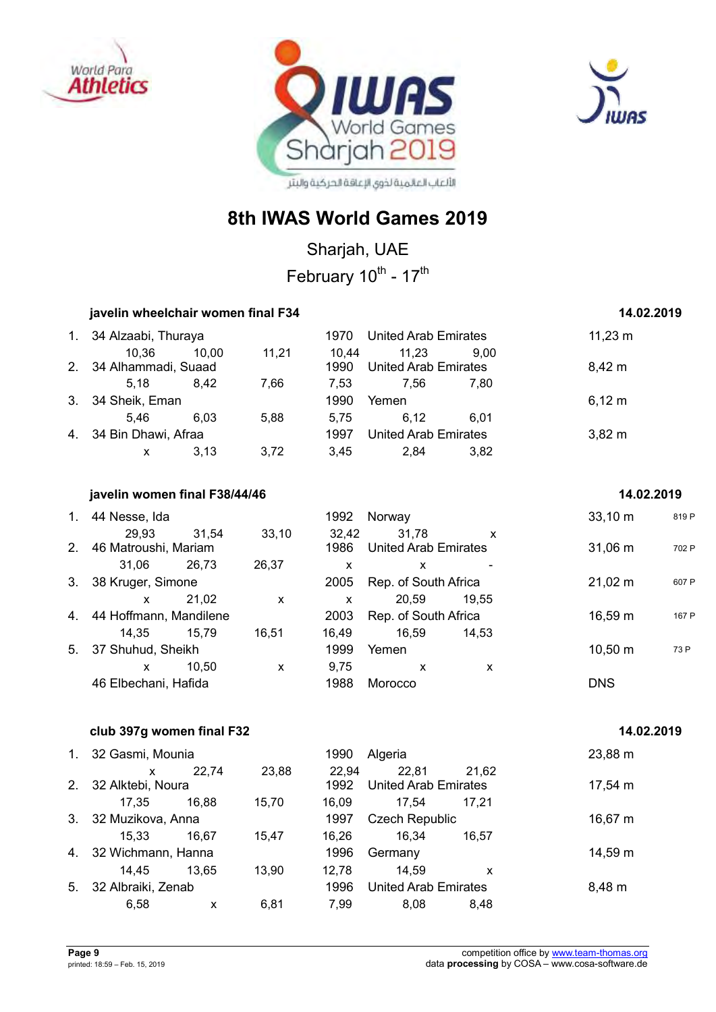





## **8th IWAS World Games 2019**

Sharjah, UAE February 10<sup>th</sup> - 17<sup>th</sup>

## *iavelin wheelchair women final F34* **14.02.2019**

| 1. 34 Alzaabi, Thuraya<br>United Arab Emirates<br>1970 |       |       |               |                                      | $11,23 \; m$ |             |
|--------------------------------------------------------|-------|-------|---------------|--------------------------------------|--------------|-------------|
| 10.36<br>2. 34 Alhammadi, Suaad                        | 10.00 | 11,21 | 10.44<br>1990 | 11.23<br><b>United Arab Emirates</b> | 9.00         | $8,42 \; m$ |
| 5.18                                                   | 8.42  | 7.66  | 7.53          | 7.56                                 | 7.80         |             |
| 3. 34 Sheik, Eman                                      |       |       | 1990          | Yemen                                |              | $6,12 \; m$ |
| 5.46                                                   | 6.03  | 5.88  | 5.75          | 6.12                                 | 6.01         |             |
| 4. 34 Bin Dhawi, Afraa                                 |       |       | 1997          | <b>United Arab Emirates</b>          |              | $3,82 \, m$ |
| X                                                      | 3.13  | 3,72  | 3.45          | 2.84                                 | 3.82         |             |

#### *iavelin women final F38/44/46* **14.02.2019 14.02.2019**

| 1.             | 44 Nesse, Ida                 |       |       | 1992          | Norway                               |                           | $33,10 \; m$      | 819 P |
|----------------|-------------------------------|-------|-------|---------------|--------------------------------------|---------------------------|-------------------|-------|
| 2.             | 29,93<br>46 Matroushi, Mariam | 31,54 | 33,10 | 32,42<br>1986 | 31,78<br><b>United Arab Emirates</b> | $\boldsymbol{\mathsf{x}}$ | $31,06 \; m$      | 702 P |
|                | 31.06                         | 26.73 | 26,37 | x             | x                                    |                           |                   |       |
| 3 <sub>1</sub> | 38 Kruger, Simone             |       |       | 2005          | Rep. of South Africa                 |                           | $21,02 \, m$      | 607 P |
|                | X                             | 21.02 | X     | X             | 20.59                                | 19.55                     |                   |       |
|                | 4. 44 Hoffmann, Mandilene     |       |       | 2003          | Rep. of South Africa                 |                           | $16,59 \text{ m}$ | 167 P |
|                | 14.35                         | 15.79 | 16,51 | 16,49         | 16,59                                | 14.53                     |                   |       |
| 5.             | 37 Shuhud, Sheikh             |       |       | 1999          | Yemen                                |                           | $10,50 \; m$      | 73 P  |
|                | x                             | 10.50 | X     | 9.75          | X                                    | x                         |                   |       |
|                | 46 Elbechani, Hafida          |       |       | 1988          | Morocco                              |                           | <b>DNS</b>        |       |

#### *club* **397g women final F32 14.02.2019 <b>14.02.2019**

| 1. 32 Gasmi, Mounia   |       |       | 1990  | Algeria                     |       | 23,88 m |
|-----------------------|-------|-------|-------|-----------------------------|-------|---------|
| X                     | 22.74 | 23,88 | 22,94 | 22,81                       | 21,62 |         |
| 2. 32 Alktebi, Noura  |       |       | 1992  | <b>United Arab Emirates</b> |       | 17,54 m |
| 17.35                 | 16.88 | 15,70 | 16.09 | 17.54                       | 17.21 |         |
| 3. 32 Muzikova, Anna  |       |       | 1997  | <b>Czech Republic</b>       |       | 16,67 m |
| 15.33                 | 16.67 | 15.47 | 16.26 | 16,34                       | 16.57 |         |
| 4. 32 Wichmann, Hanna |       |       | 1996  | Germany                     |       | 14,59 m |
| 14.45                 | 13.65 | 13.90 | 12.78 | 14.59                       | x     |         |
| 5. 32 Albraiki, Zenab |       |       | 1996  | <b>United Arab Emirates</b> |       | 8,48 m  |
| 6,58                  | x     | 6,81  | 7.99  | 8,08                        | 8.48  |         |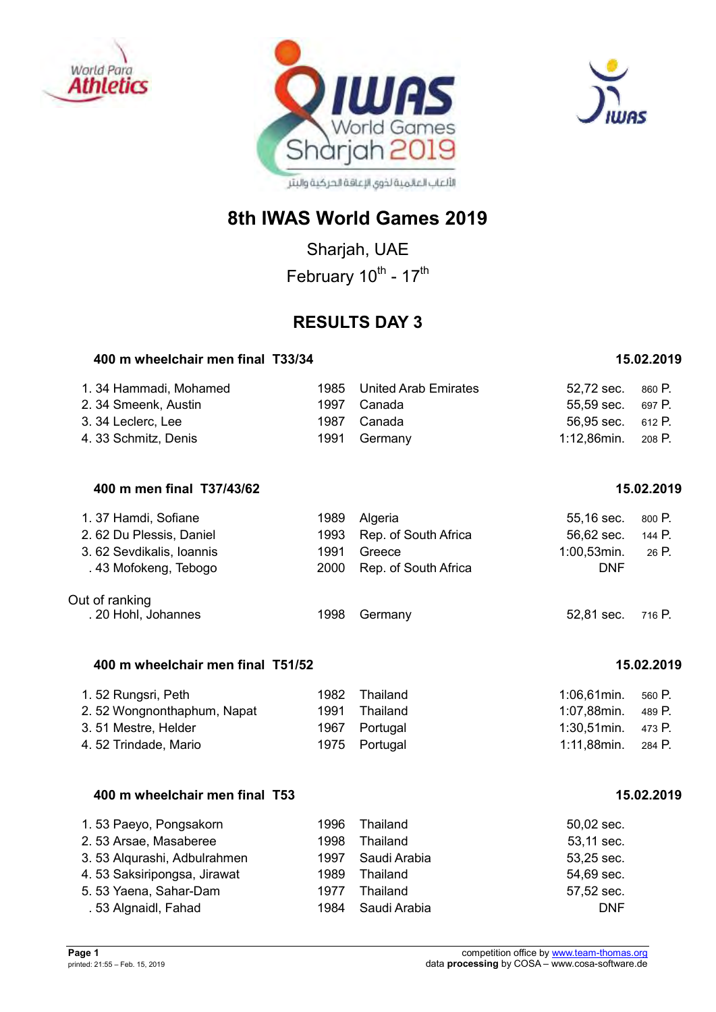





Sharjah, UAE February 10<sup>th</sup> - 17<sup>th</sup>

## **RESULTS DAY 3**

#### **400 m wheelchair men final T33/34 15.02.2019**

| 1.34 Hammadi, Mohamed | 1985 United Arab Emirates | 52,72 sec. 860 P.  |  |
|-----------------------|---------------------------|--------------------|--|
| 2. 34 Smeenk, Austin  | 1997 Canada               | 55.59 sec. 697 P.  |  |
| 3.34 Leclerc, Lee     | 1987 Canada               | 56.95 sec. 612 P.  |  |
| 4.33 Schmitz, Denis   | 1991 Germany              | 1:12,86min. 208 P. |  |

### **400 m men final T37/43/62 15.02.2019**

| 1.37 Hamdi, Sofiane      |      | 1989 Algeria              | 55,16 sec.        | 800 P. |
|--------------------------|------|---------------------------|-------------------|--------|
| 2.62 Du Plessis, Daniel  |      | 1993 Rep. of South Africa | 56,62 sec.        | 144 P. |
| 3.62 Sevdikalis, Ioannis | 1991 | Greece                    | $1:00,53$ min.    | 26 P.  |
| .43 Mofokeng, Tebogo     |      | 2000 Rep. of South Africa | <b>DNF</b>        |        |
| Out of ranking           |      |                           |                   |        |
| . 20 Hohl, Johannes      | 1998 | Germany                   | 52,81 sec. 716 P. |        |

### **400 m wheelchair men final T51/52 15.02.2019**

| 1.52 Rungsri, Peth         | 1982 Thailand | 1:06,61min.           | 560 P. |
|----------------------------|---------------|-----------------------|--------|
| 2.52 Wongnonthaphum, Napat | 1991 Thailand | 1:07,88min.           | 489 P. |
| 3.51 Mestre, Helder        | 1967 Portugal | $1:30,51$ min. 473 P. |        |
| 4.52 Trindade, Mario       | 1975 Portugal | 1:11,88min.           | 284 P. |

#### **400 m wheelchair men final T53 15.02.2019**

| 1.53 Paeyo, Pongsakorn      | 1996 | Thailand     | $50,02$ sec. |
|-----------------------------|------|--------------|--------------|
| 2.53 Arsae, Masaberee       | 1998 | Thailand     | 53,11 sec.   |
| 3.53 Algurashi, Adbulrahmen | 1997 | Saudi Arabia | 53,25 sec.   |
| 4.53 Saksiripongsa, Jirawat | 1989 | Thailand     | 54,69 sec.   |
| 5.53 Yaena, Sahar-Dam       | 1977 | Thailand     | 57,52 sec.   |
| .53 Algnaidl, Fahad         | 1984 | Saudi Arabia | <b>DNF</b>   |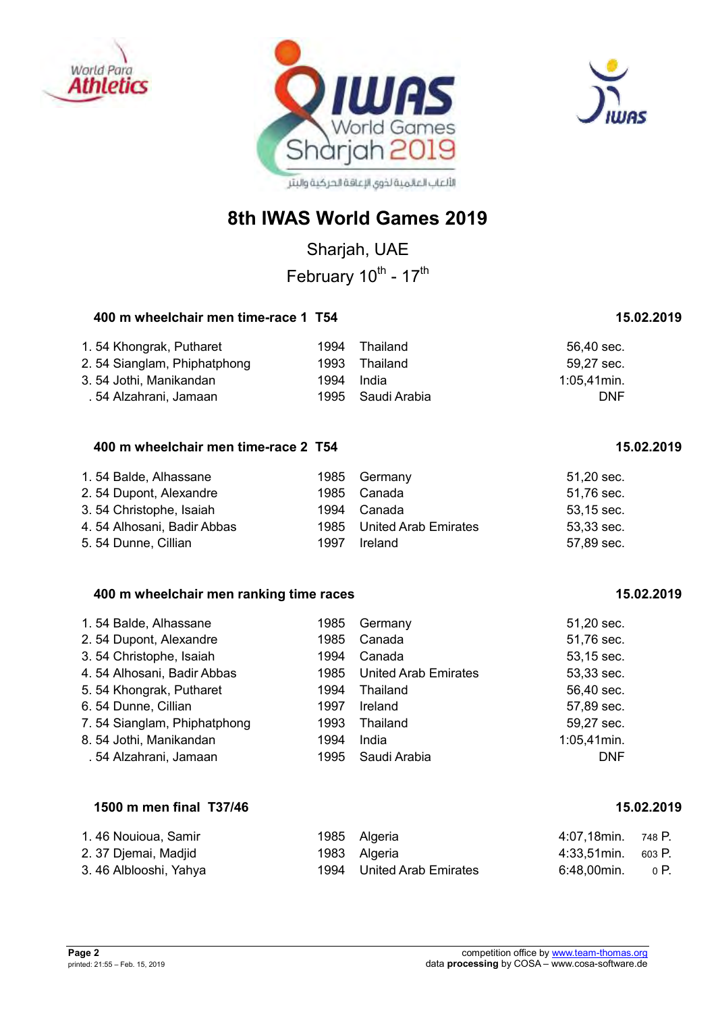





Sharjah, UAE February 10<sup>th</sup> - 17<sup>th</sup>

#### **400 m wheelchair men time-race 1 T54 15.02.2019**

| 1.54 Khongrak, Putharet     | 1994 | Thailand          | 56.40 sec.     |
|-----------------------------|------|-------------------|----------------|
| 2.54 Sianglam, Phiphatphong |      | 1993 Thailand     | 59,27 sec.     |
| 3. 54 Jothi, Manikandan     | 1994 | India             | $1:05.41$ min. |
| . 54 Alzahrani, Jamaan      |      | 1995 Saudi Arabia | <b>DNF</b>     |

## **400 m wheelchair men time-race 2 T54 15.02.2019**

| 1.54 Balde, Alhassane      |      | 1985 Germany              | 51,20 sec. |
|----------------------------|------|---------------------------|------------|
| 2.54 Dupont, Alexandre     |      | 1985 Canada               | 51,76 sec. |
| 3.54 Christophe, Isaiah    |      | 1994 Canada               | 53,15 sec. |
| 4.54 Alhosani, Badir Abbas |      | 1985 United Arab Emirates | 53,33 sec. |
| 5.54 Dunne, Cillian        | 1997 | Ireland                   | 57,89 sec. |

#### **400 m wheelchair men ranking time races 15.02.2019**

| 1.54 Balde, Alhassane<br>2.54 Dupont, Alexandre | 1985<br>1985 | Germany<br>Canada           | 51,20 sec.<br>51,76 sec. |
|-------------------------------------------------|--------------|-----------------------------|--------------------------|
| 3.54 Christophe, Isaiah                         | 1994         | Canada                      | 53,15 sec.               |
| 4.54 Alhosani, Badir Abbas                      | 1985         | <b>United Arab Emirates</b> | 53,33 sec.               |
| 5.54 Khongrak, Putharet                         | 1994         | Thailand                    | 56,40 sec.               |
| 6.54 Dunne, Cillian                             | 1997         | Ireland                     | 57,89 sec.               |
| 7.54 Sianglam, Phiphatphong                     | 1993         | Thailand                    | 59,27 sec.               |
| 8.54 Jothi, Manikandan                          | 1994         | India                       | 1:05,41min.              |
| .54 Alzahrani, Jamaan                           | 1995         | Saudi Arabia                | <b>DNF</b>               |

### **1500 m men final T37/46 15.02.2019**

| 1.46 Nouioua, Samir   | 1985 Algeria              | 4:07.18min. 748 P. |      |
|-----------------------|---------------------------|--------------------|------|
| 2. 37 Djemai, Madjid  | 1983 Algeria              | 4:33.51min. 603 P. |      |
| 3.46 Alblooshi, Yahya | 1994 United Arab Emirates | 6:48.00min.        | 0 P. |

#### **Page 2** competition office by [www.team-thomas.org](http://www.team-thomas.org/) printed: 21:55 – Feb. 15, 2019 data **processing** by COSA – www.cosa-software.de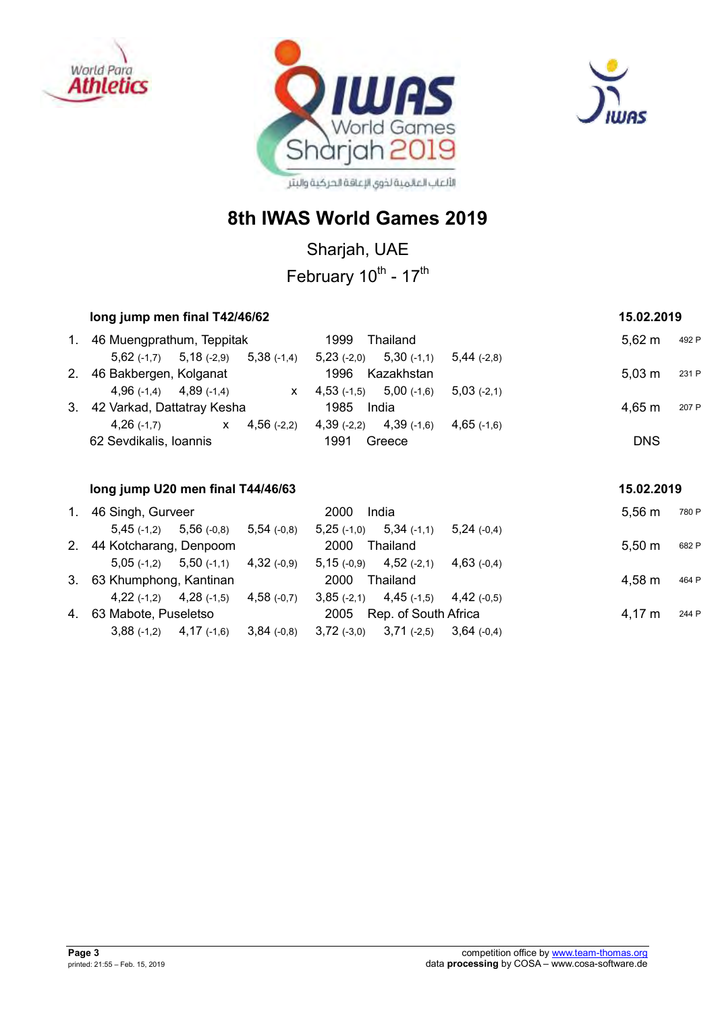





Sharjah, UAE

February 10<sup>th</sup> - 17<sup>th</sup>

|         | long jump men final T42/46/62                  |                              | 15.02.2019    |                      |  |
|---------|------------------------------------------------|------------------------------|---------------|----------------------|--|
| $1_{-}$ | 46 Muengprathum, Teppitak                      | 1999<br>Thailand             |               | $5.62 \; m$<br>492 P |  |
|         | $5,62$ (-1,7) $5,18$ (-2,9)<br>$5,38$ (-1,4)   | $5,23$ (-2,0) $5,30$ (-1,1)  | $5,44$ (-2,8) |                      |  |
|         | 2. 46 Bakbergen, Kolganat                      | 1996<br>Kazakhstan           |               | 5.03 m<br>231 P      |  |
|         | $4,96(-1,4)$ $4,89(-1,4)$<br>$\mathsf{X}$      | $4,53$ (-1,5) $5,00$ (-1,6)  | $5,03(-2,1)$  |                      |  |
| 3.      | 42 Varkad, Dattatray Kesha                     | 1985<br>India                |               | 4,65 m<br>207 P      |  |
|         | $4,56$ (-2,2)<br>$4,26$ (-1,7)<br>$\mathsf{X}$ | 4,39 (-1,6)<br>$4,39$ (-2,2) | $4,65$ (-1,6) |                      |  |
|         | 62 Sevdikalis, Ioannis                         | 1991<br>Greece               |               | <b>DNS</b>           |  |
|         |                                                |                              |               |                      |  |

|             | long jump U20 men final T44/46/63 |                                           |               |                           |                                        |               |  | 15.02.2019       |       |  |
|-------------|-----------------------------------|-------------------------------------------|---------------|---------------------------|----------------------------------------|---------------|--|------------------|-------|--|
| $1_{\cdot}$ | 46 Singh, Gurveer                 |                                           |               | 2000                      | India                                  |               |  | $5.56 \text{ m}$ | 780 P |  |
|             |                                   | $5,45$ (-1,2) $5,56$ (-0,8) $5,54$ (-0,8) |               |                           | $5,25(-1,0)$ $5,34(-1,1)$              | $5,24(-0,4)$  |  |                  |       |  |
|             | 2. 44 Kotcharang, Denpoom         |                                           |               | 2000                      | Thailand                               |               |  | $5,50 \; m$      | 682 P |  |
|             |                                   | $5,05$ (-1,2) $5,50$ (-1,1) $4,32$ (-0,9) |               | $5,15(-0,9)$ $4,52(-2,1)$ |                                        | $4,63$ (-0.4) |  |                  |       |  |
|             | 3. 63 Khumphong, Kantinan         |                                           |               | 2000                      | Thailand                               |               |  | 4,58 m           | 464 P |  |
|             |                                   | $4,22$ (-1,2) $4,28$ (-1,5) $4,58$ (-0,7) |               |                           | $3,85(-2,1)$ $4,45(-1,5)$ $4,42(-0,5)$ |               |  |                  |       |  |
|             | 4. 63 Mabote, Puseletso           |                                           |               | 2005                      | Rep. of South Africa                   |               |  | 4,17 m           | 244 P |  |
|             | $3,88(-1,2)$ $4,17(-1,6)$         |                                           | $3,84$ (-0,8) |                           | $3,72$ (-3,0) $3,71$ (-2,5)            | $3.64$ (-0.4) |  |                  |       |  |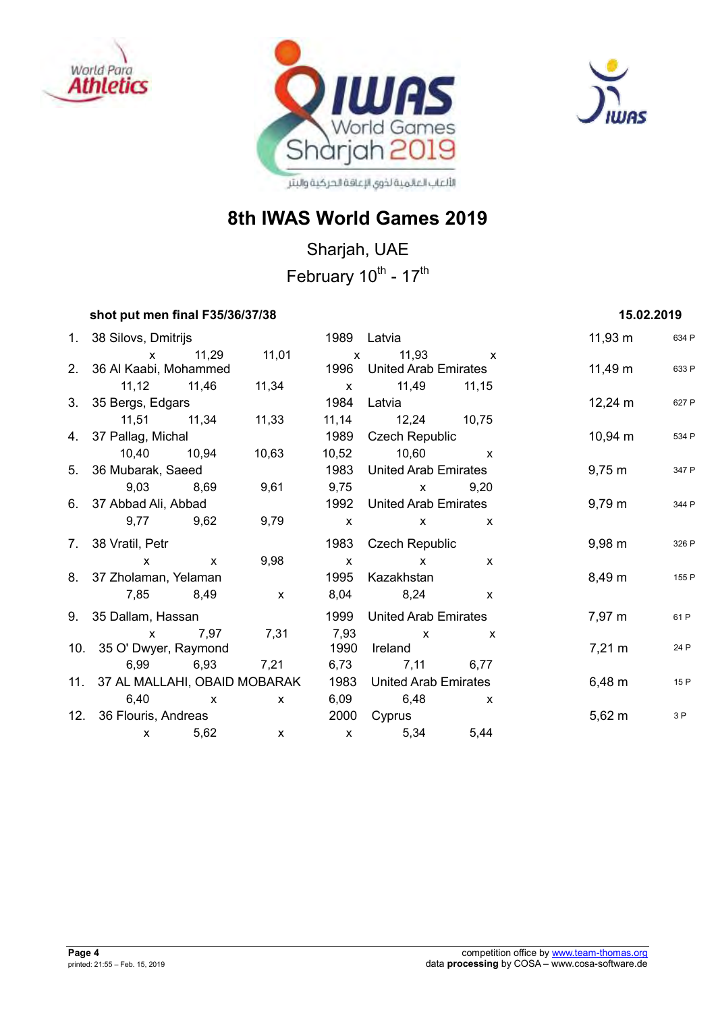





## **8th IWAS World Games 2019**

Sharjah, UAE February 10<sup>th</sup> - 17<sup>th</sup>

#### **shot put men final F35/36/37/38** 15.02.2019

| 1. 38 Silovs, Dmitrijs           |               |                |              | 1989 Latvia                 |                                                                                                                                                                                                                                                                                                                  | $11,93 \; m$       | 634 P |
|----------------------------------|---------------|----------------|--------------|-----------------------------|------------------------------------------------------------------------------------------------------------------------------------------------------------------------------------------------------------------------------------------------------------------------------------------------------------------|--------------------|-------|
|                                  | x 11,29 11,01 |                |              | x 11,93 x                   |                                                                                                                                                                                                                                                                                                                  |                    |       |
| 2. 36 Al Kaabi, Mohammed         |               |                |              | 1996 United Arab Emirates   |                                                                                                                                                                                                                                                                                                                  | $11,49 \text{ m}$  | 633 P |
| 11,12 11,46                      |               | 11,34          |              | x 11,49 11,15               |                                                                                                                                                                                                                                                                                                                  |                    |       |
| 3. 35 Bergs, Edgars              |               |                |              | 1984 Latvia                 |                                                                                                                                                                                                                                                                                                                  | $12,24 \text{ m}$  | 627 P |
| 11,51 11,34                      |               | 11,33          |              | 11,14 12,24 10,75           |                                                                                                                                                                                                                                                                                                                  |                    |       |
| 4. 37 Pallag, Michal             |               |                | 1989         | Czech Republic              |                                                                                                                                                                                                                                                                                                                  | $10,94 \; m$       | 534 P |
| 10,40 10,94                      |               | 10,63          |              | 10,52 10,60 x               |                                                                                                                                                                                                                                                                                                                  |                    |       |
| 5. 36 Mubarak, Saeed             |               |                | 1983         | <b>United Arab Emirates</b> |                                                                                                                                                                                                                                                                                                                  | $9,75 \text{ m}$   | 347 P |
| 9,03 8,69                        |               | 9,61           |              | 9,75 x 9,20                 |                                                                                                                                                                                                                                                                                                                  |                    |       |
| 6. 37 Abbad Ali, Abbad           |               |                | 1992         | <b>United Arab Emirates</b> |                                                                                                                                                                                                                                                                                                                  | 9,79 m             | 344 P |
| 9,77 9,62                        |               | 9,79           | $\mathsf{X}$ | $\mathsf{X}$ $\mathsf{X}$   |                                                                                                                                                                                                                                                                                                                  |                    |       |
| 7. 38 Vratil, Petr               |               |                |              | 1983 Czech Republic         |                                                                                                                                                                                                                                                                                                                  | $9,98 \, \text{m}$ | 326 P |
| $\mathsf{x}$                     | $\mathsf{X}$  | 9,98           | $\mathsf{X}$ |                             | $\mathsf{X}$ and $\mathsf{X}$ and $\mathsf{X}$ are $\mathsf{X}$ and $\mathsf{X}$ are $\mathsf{X}$ and $\mathsf{X}$ are $\mathsf{X}$ and $\mathsf{X}$ are $\mathsf{X}$ and $\mathsf{X}$ are $\mathsf{X}$ and $\mathsf{X}$ are $\mathsf{X}$ are $\mathsf{X}$ and $\mathsf{X}$ are $\mathsf{X}$ and<br>$\mathsf{x}$ |                    |       |
| 8. 37 Zholaman, Yelaman          |               |                | 1995         | Kazakhstan                  |                                                                                                                                                                                                                                                                                                                  | 8,49 m             | 155 P |
| 7,85 8,49                        |               | $\mathsf{X}$   |              | 8,04 8,24 x                 |                                                                                                                                                                                                                                                                                                                  |                    |       |
| 9. 35 Dallam, Hassan             |               |                | 1999         | <b>United Arab Emirates</b> |                                                                                                                                                                                                                                                                                                                  | 7,97 m             | 61 P  |
| x 7,97 7,31                      |               |                |              | 7,93 x                      | $\mathsf{X}$                                                                                                                                                                                                                                                                                                     |                    |       |
| 10. 35 O' Dwyer, Raymond         |               |                | 1990         | Ireland                     |                                                                                                                                                                                                                                                                                                                  | $7,21 \text{ m}$   | 24 P  |
|                                  |               | 6,99 6,93 7,21 |              | 6,73 7,11 6,77              |                                                                                                                                                                                                                                                                                                                  |                    |       |
| 11. 37 AL MALLAHI, OBAID MOBARAK |               |                | 1983         | <b>United Arab Emirates</b> |                                                                                                                                                                                                                                                                                                                  | 6,48 m             | 15 P  |
| 6,40 x                           |               | $\mathsf{X}$   |              | 6,09 6,48 x                 |                                                                                                                                                                                                                                                                                                                  |                    |       |
| 12. 36 Flouris, Andreas          |               |                |              | 2000 Cyprus                 |                                                                                                                                                                                                                                                                                                                  | 5,62 m             | 3P    |
| $\mathsf{X}$                     | 5,62          | $\mathsf{x}$   |              | $x = 5,34$                  | 5,44                                                                                                                                                                                                                                                                                                             |                    |       |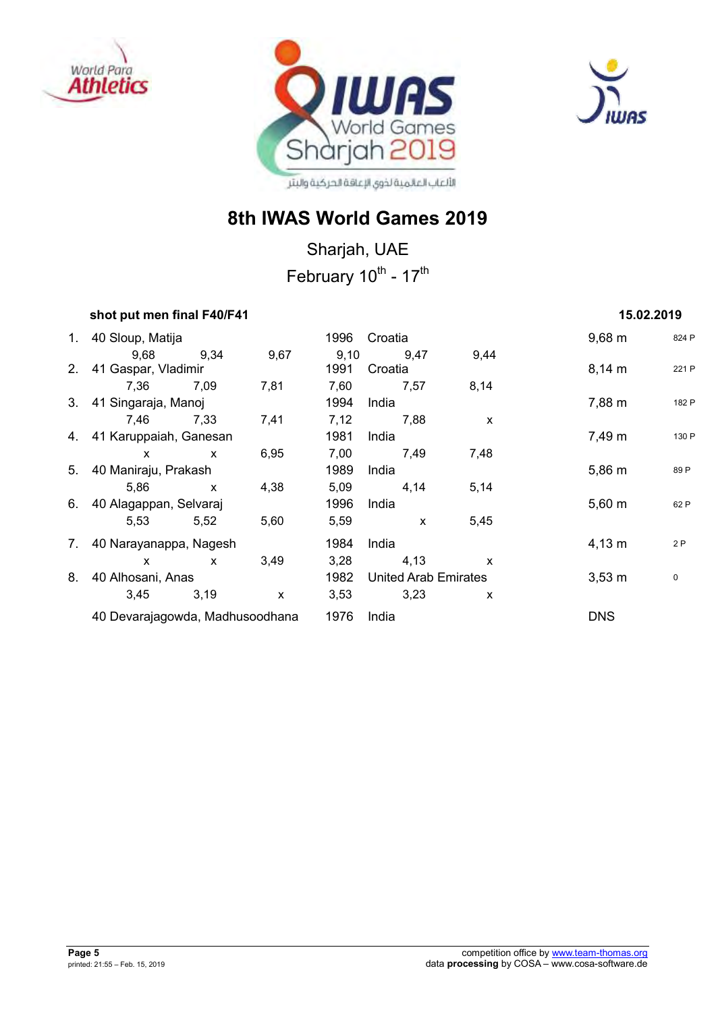





## **8th IWAS World Games 2019**

Sharjah, UAE February 10<sup>th</sup> - 17<sup>th</sup>

### *shot put men final F40/F41* **<b>15.02.2019 15.02.2019**

| 1. 40 Sloup, Matija             |              |              | 1996 | Croatia              |              | $9,68 \, \text{m}$ | 824 P |
|---------------------------------|--------------|--------------|------|----------------------|--------------|--------------------|-------|
| 9,68                            | 9,34         | 9,67         | 9,10 | 9,47                 | 9,44         |                    |       |
| 2. 41 Gaspar, Vladimir          |              |              | 1991 | Croatia              |              | $8,14 \, m$        | 221 P |
| 7.36                            | 7,09         | 7,81         | 7,60 | 7,57                 | 8,14         |                    |       |
| 3. 41 Singaraja, Manoj          |              |              | 1994 | India                |              | 7,88 m             | 182 P |
| 7,46                            | 7,33         | 7,41         | 7,12 | 7,88                 | X            |                    |       |
| 4. 41 Karuppaiah, Ganesan       |              |              | 1981 | India                |              | 7,49 m             | 130 P |
| $\mathsf{x}$                    | $\mathsf{x}$ | 6,95         | 7,00 | 7,49                 | 7,48         |                    |       |
| 5. 40 Maniraju, Prakash         |              |              | 1989 | India                |              | $5,86 \; m$        | 89 P  |
| 5,86                            | $\mathsf{x}$ | 4,38         | 5,09 | 4,14                 | 5,14         |                    |       |
| 6. 40 Alagappan, Selvaraj       |              |              | 1996 | India                |              | $5,60 \; m$        | 62 P  |
| 5,53                            | 5,52         | 5,60         | 5,59 | $\mathsf{x}$         | 5,45         |                    |       |
| 7. 40 Narayanappa, Nagesh       |              |              | 1984 | India                |              | $4,13 \; m$        | 2P    |
| $\mathsf{x}$                    | $\mathsf{x}$ | 3,49         | 3,28 | 4,13                 | $\mathsf{x}$ |                    |       |
| 8. 40 Alhosani, Anas            |              |              | 1982 | United Arab Emirates |              | $3,53 \, \text{m}$ | 0     |
| 3,45                            | 3,19         | $\mathsf{x}$ | 3,53 | 3,23                 | X            |                    |       |
| 40 Devarajagowda, Madhusoodhana |              |              | 1976 | India                |              | <b>DNS</b>         |       |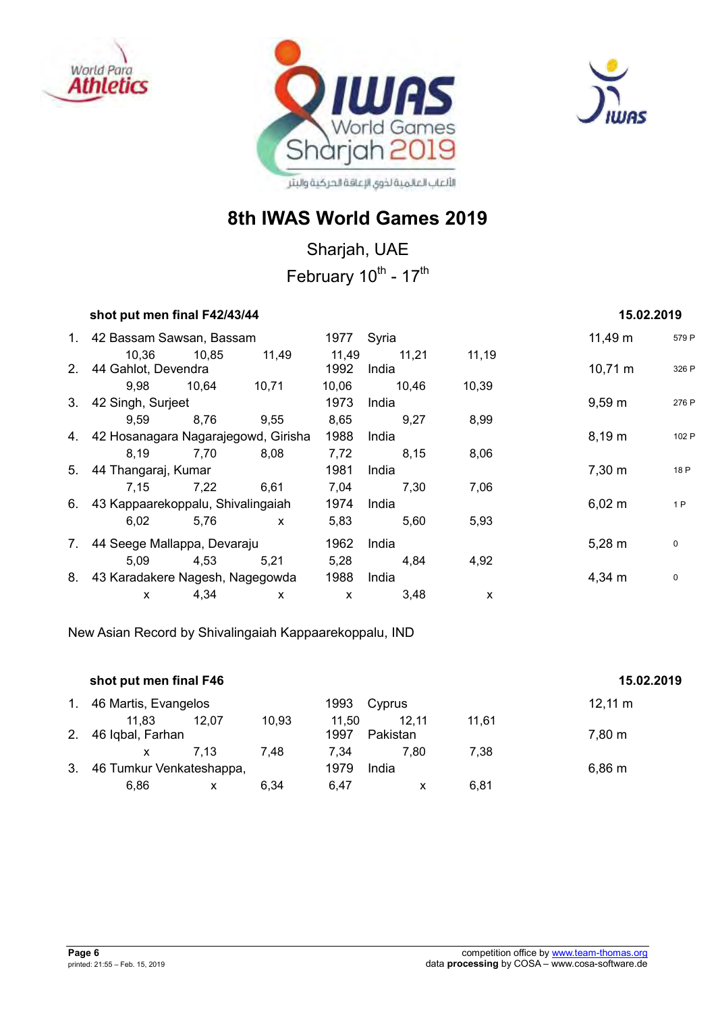





## **8th IWAS World Games 2019**

Sharjah, UAE February 10<sup>th</sup> - 17<sup>th</sup>

#### *shot put men final F42/43/44* **15.02.2019 <b>15.02.2019**

|    | 1. 42 Bassam Sawsan, Bassam            |       |              | 1977          | Syria          |       | 11,49 m            | 579 P     |
|----|----------------------------------------|-------|--------------|---------------|----------------|-------|--------------------|-----------|
|    | 10.36<br>2. 44 Gahlot, Devendra        | 10.85 | 11,49        | 11,49<br>1992 | 11.21<br>India | 11,19 | $10,71 \text{ m}$  | 326 P     |
|    | 9,98                                   | 10.64 | 10,71        | 10,06         | 10,46          | 10,39 |                    |           |
|    | 3. 42 Singh, Surjeet                   |       |              | 1973          | India          |       | $9,59 \; m$        | 276 P     |
|    | 9.59                                   | 8,76  | 9,55         | 8,65          | 9,27           | 8,99  |                    |           |
|    | 4. 42 Hosanagara Nagarajegowd, Girisha |       |              | 1988          | India          |       | 8,19 m             | 102 P     |
|    | 8.19                                   | 7,70  | 8.08         | 7,72          | 8,15           | 8,06  |                    |           |
|    | 5. 44 Thangaraj, Kumar                 |       |              | 1981          | India          |       | $7,30 \; \text{m}$ | 18 P      |
|    | 7.15                                   | 7,22  | 6,61         | 7,04          | 7,30           | 7,06  |                    |           |
|    | 6. 43 Kappaarekoppalu, Shivalingaiah   |       |              | 1974          | India          |       | $6,02 \; m$        | 1P        |
|    | 6,02                                   | 5,76  | $\mathsf{x}$ | 5,83          | 5,60           | 5,93  |                    |           |
| 7. | 44 Seege Mallappa, Devaraju            |       |              | 1962          | India          |       | $5,28 \; m$        | 0         |
|    | 5.09                                   | 4,53  | 5.21         | 5,28          | 4,84           | 4,92  |                    |           |
|    | 8. 43 Karadakere Nagesh, Nagegowda     |       |              | 1988          | India          |       | $4,34 \, m$        | $\pmb{0}$ |
|    | X                                      | 4,34  | X            | X             | 3,48           | X     |                    |           |

New Asian Record by Shivalingaiah Kappaarekoppalu, IND

|             | shot put men final F46   |       |       |       |          |       | 15.02.2019   |
|-------------|--------------------------|-------|-------|-------|----------|-------|--------------|
| $1_{\cdot}$ | 46 Martis, Evangelos     |       |       | 1993  | Cyprus   |       | $12,11 \; m$ |
|             | 11.83                    | 12.07 | 10.93 | 11.50 | 12.11    | 11.61 |              |
| 2.          | 46 Iqbal, Farhan         |       |       | 1997  | Pakistan |       | 7,80 m       |
|             | X                        | 7.13  | 7.48  | 7.34  | 7.80     | 7.38  |              |
| 3.          | 46 Tumkur Venkateshappa, |       |       | 1979  | India    |       | $6,86 \; m$  |
|             | 6.86                     | x     | 6.34  | 6.47  |          | 6.81  |              |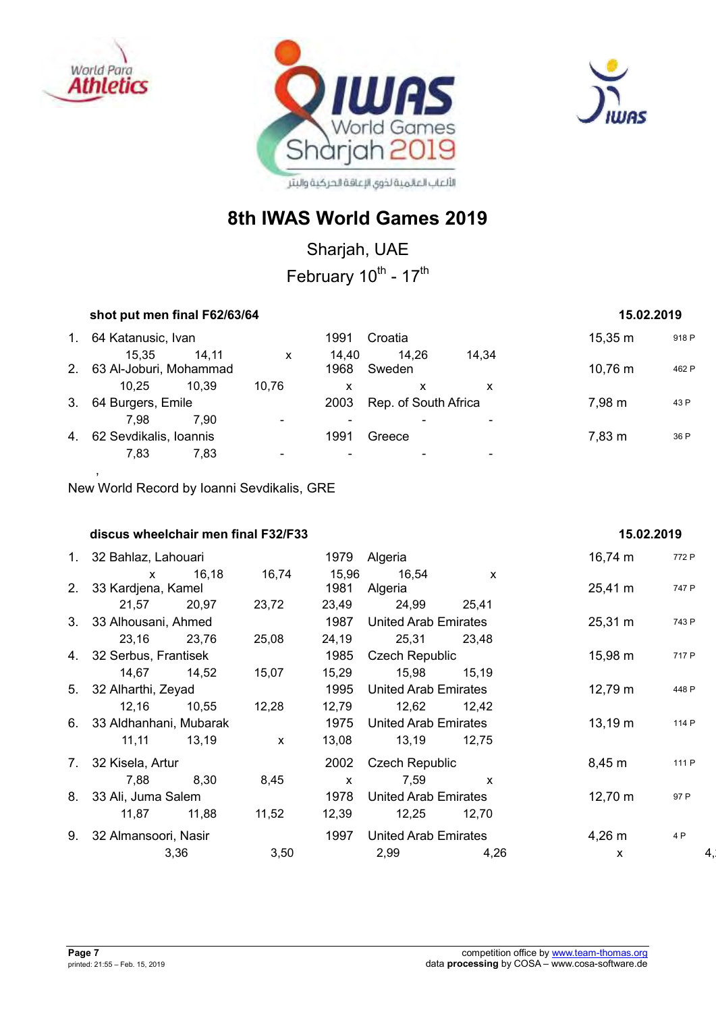

,





## **8th IWAS World Games 2019**

Sharjah, UAE

February 10<sup>th</sup> - 17<sup>th</sup>

|             |                                             | shot put men final F62/63/64 |               |                      |       |              |       |  |  |  |
|-------------|---------------------------------------------|------------------------------|---------------|----------------------|-------|--------------|-------|--|--|--|
| $1_{\cdot}$ | 64 Katanusic, Ivan                          |                              | 1991          | Croatia              |       | $15,35 \; m$ | 918 P |  |  |  |
|             | 15.35<br>14.11<br>2. 63 Al-Joburi, Mohammad | X                            | 14.40<br>1968 | 14.26<br>Sweden      | 14.34 | 10,76 m      | 462 P |  |  |  |
|             | 10.25<br>10.39                              | 10.76                        | x             | x                    | x     |              |       |  |  |  |
| 3.          | 64 Burgers, Emile                           |                              | 2003          | Rep. of South Africa |       | 7,98 m       | 43 P  |  |  |  |
|             | 7.98<br>7.90                                |                              |               |                      |       |              |       |  |  |  |
| 4.          | 62 Sevdikalis, Ioannis                      |                              | 1991          | Greece               |       | 7,83 m       | 36 P  |  |  |  |
|             | 7.83<br>7.83                                |                              |               |                      |       |              |       |  |  |  |

New World Record by Ioanni Sevdikalis, GRE

| discus wheelchair men final F32/F33 |         |              |                             |                             |              | 15.02.2019        |       |
|-------------------------------------|---------|--------------|-----------------------------|-----------------------------|--------------|-------------------|-------|
| 1. 32 Bahlaz, Lahouari              |         |              | 1979                        | Algeria                     |              | 16,74 m           | 772 P |
|                                     | x 16,18 | 16,74        | 15,96                       | 16,54                       | $\mathsf{x}$ |                   |       |
| 2. 33 Kardjena, Kamel               |         |              | 1981                        | Algeria                     |              | $25,41 \text{ m}$ | 747 P |
| 21,57 20,97                         |         | 23,72        | 23,49                       | 24,99 25,41                 |              |                   |       |
| 3. 33 Alhousani, Ahmed              |         |              | 1987                        | United Arab Emirates        |              | $25,31 \text{ m}$ | 743 P |
| 23,16 23,76                         |         | 25,08        | 24,19                       | 25,31 23,48                 |              |                   |       |
| 4. 32 Serbus, Frantisek             |         |              | 1985                        | Czech Republic              |              | 15,98 m           | 717 P |
| 14,67                               | 14,52   | 15,07        | 15,29                       | 15,98                       | 15,19        |                   |       |
| 5. 32 Alharthi, Zeyad               |         |              | 1995                        | <b>United Arab Emirates</b> |              | $12,79 \text{ m}$ | 448 P |
| 12,16 10,55                         |         | 12,28        | 12,79                       | 12,62 12,42                 |              |                   |       |
| 6. 33 Aldhanhani, Mubarak           |         |              | 1975                        | <b>United Arab Emirates</b> |              | $13,19 \; m$      | 114 P |
| 11,11 13,19                         |         | $\mathsf{x}$ | 13,08                       | 13,19                       | 12,75        |                   |       |
| 7. 32 Kisela, Artur                 |         |              | 2002                        | Czech Republic              |              | 8,45 m            | 111 P |
| 7,88                                | 8,30    | 8,45         | $\mathsf{x}$                | 7,59                        | $\mathsf{X}$ |                   |       |
| 8. 33 Ali, Juma Salem               |         |              | 1978                        | <b>United Arab Emirates</b> |              | $12,70 \; m$      | 97 P  |
| 11,87 11,88                         |         | 11,52        | 12,39                       | 12,25                       | 12,70        |                   |       |
| 9. 32 Almansoori, Nasir             |         | 1997         | <b>United Arab Emirates</b> |                             | $4,26 \; m$  | 4 P               |       |
|                                     | 3,36    | 3,50         |                             | 2,99                        | 4,26         | $\mathsf{x}$      |       |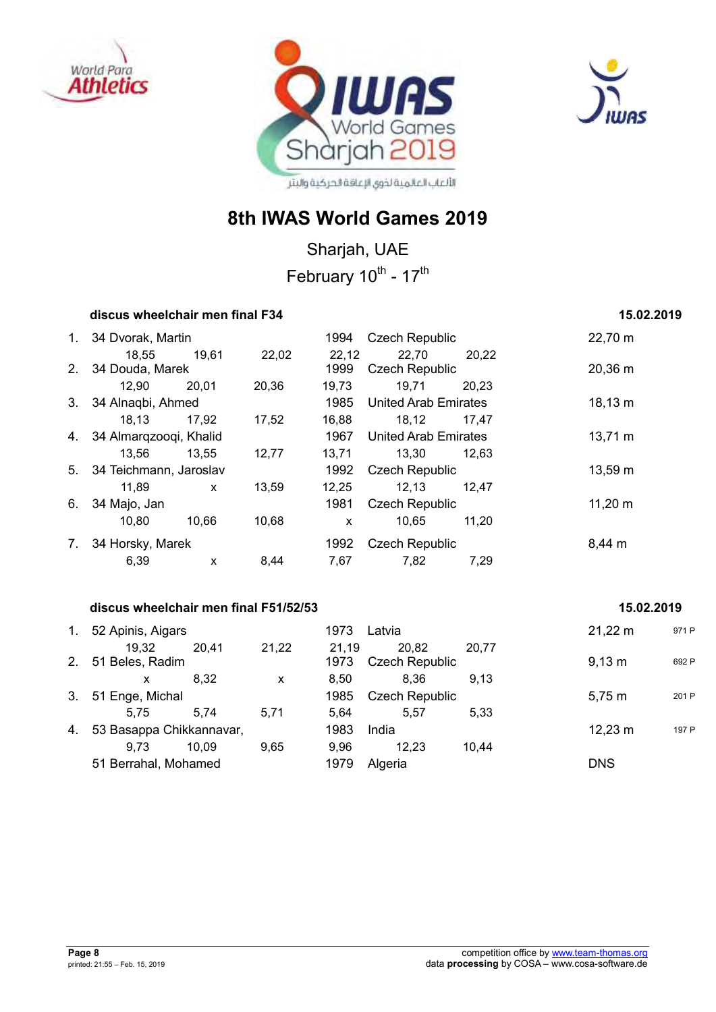





Sharjah, UAE February 10<sup>th</sup> - 17<sup>th</sup>

## **discus wheelchair men final F34** 15.02.2019 **15.02.2019**

## 1. 34 Dvorak, Martin 1994 Czech Republic 22,70 m 18,55 19,61 22,02 22,12 22,70 20,22 2. 34 Douda, Marek 1999 Czech Republic 20,36 m 12,90 20,01 20,36 19,73 19,71 20,23 3. 34 Alnaqbi, Ahmed 1985 United Arab Emirates 18,13 m 18,13 17,92 17,52 16,88 18,12 17,47 4. 34 Almarqzooqi, Khalid 1967 United Arab Emirates 13,71 m 13,56 13,55 12,77 13,71 13,30 12,63 5. 34 Teichmann, Jaroslav 1992 Czech Republic 13,59 m 11,89 x 13,59 12,25 12,13 12,47 6. 34 Majo, Jan 1981 Czech Republic 11,20 m 10,80 10,66 10,68 x 10,65 11,20 7. 34 Horsky, Marek 1992 Czech Republic 8,44 m 6,39 x 8,44 7,67 7,82 7,29

#### **discus wheelchair men final F51/52/53 15.02.2019**

## 1. 52 Apinis, Aigars 1973 Latvia 21,22 m <sup>971</sup> <sup>P</sup> 19,32 20,41 21,22 21,19 20,82 20,77 2. 51 Beles, Radim **1973** Czech Republic 9,13 m 692 P x 8,32 x 8,50 8,36 9,13 3. 51 Enge, Michal 1985 Czech Republic 5,75 m 201 P 5,75 5,74 5,71 5,64 5,57 5,33 4. 53 Basappa Chikkannavar, 1983 India 12,23 m 197 P 9,73 10,09 9,65 9,96 12,23 10,44 51 Berrahal, Mohamed 1979 Algeria DNS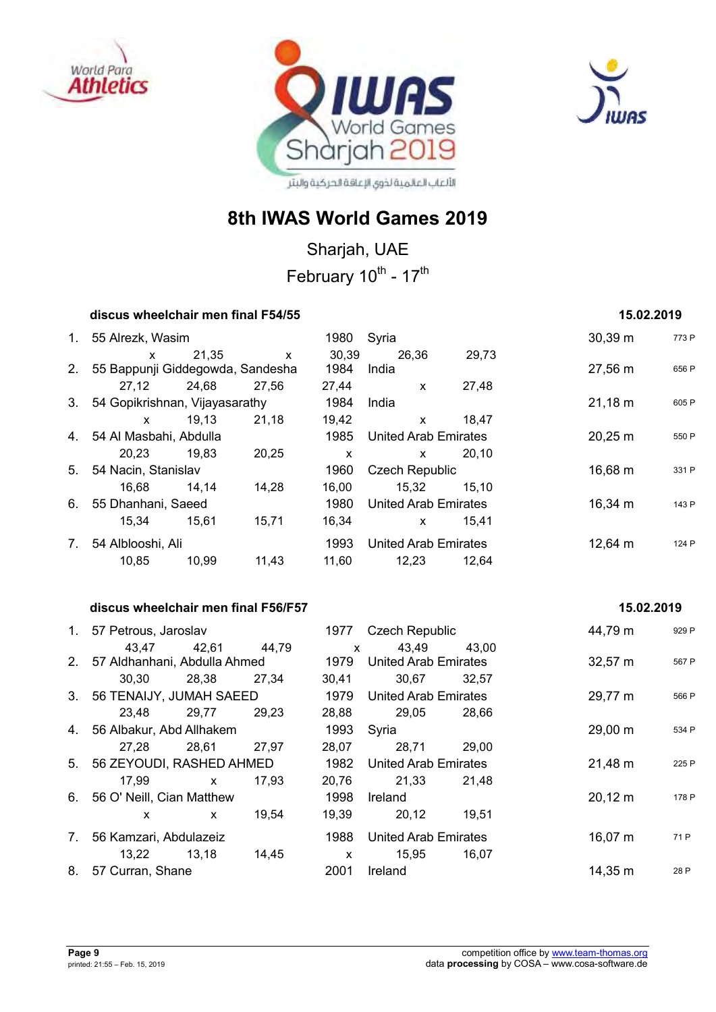





Sharjah, UAE February 10<sup>th</sup> - 17<sup>th</sup>

#### **discus wheelchair men final F54/55** 15.02.2019 **15.02.2019**

|    | 1. 55 Alrezk, Wasim                 |       |              | 1980  | Syria                       |       | $30,39 \text{ m}$ | 773 P |
|----|-------------------------------------|-------|--------------|-------|-----------------------------|-------|-------------------|-------|
|    | $\mathsf{x}$                        | 21.35 | $\mathsf{x}$ | 30,39 | 26,36                       | 29,73 |                   |       |
|    | 2. 55 Bappunji Giddegowda, Sandesha |       |              | 1984  | India                       |       | 27,56 m           | 656 P |
|    | 27.12                               | 24,68 | 27.56        | 27,44 | $\mathsf{x}$                | 27,48 |                   |       |
|    | 3. 54 Gopikrishnan, Vijayasarathy   |       |              | 1984  | India                       |       | $21,18 \; m$      | 605 P |
|    | $\mathsf{x}$                        | 19,13 | 21,18        | 19,42 | $\mathsf{x}$                | 18,47 |                   |       |
|    | 4. 54 Al Masbahi, Abdulla           |       |              | 1985  | <b>United Arab Emirates</b> |       | 20,25 m           | 550 P |
|    | 20.23                               | 19,83 | 20,25        | X     | X                           | 20.10 |                   |       |
|    | 5. 54 Nacin, Stanislav              |       |              | 1960  | <b>Czech Republic</b>       |       | 16,68 m           | 331 P |
|    | 16,68                               | 14,14 | 14,28        | 16.00 | 15,32                       | 15.10 |                   |       |
|    | 6. 55 Dhanhani, Saeed               |       |              | 1980  | United Arab Emirates        |       | $16,34 \; m$      | 143 P |
|    | 15,34                               | 15.61 | 15,71        | 16,34 | $\mathsf{x}$                | 15.41 |                   |       |
| 7. | 54 Alblooshi, Ali                   |       |              | 1993  | United Arab Emirates        |       | $12,64 \; m$      | 124 P |
|    | 10,85                               | 10,99 | 11,43        | 11,60 | 12,23                       | 12,64 |                   |       |

#### **discus wheelchair men final F56/F57 15.02.2019**

## 1. 57 Petrous, Jaroslav **1977** Czech Republic **1. 57 Petrous, Jaroslav** 1977 Czech Republic 44,79 m 929 P 43,47 42,61 44,79 x 43,49 43,00 2. 57 Aldhanhani, Abdulla Ahmed 1979 United Arab Emirates 32,57 m 567 P 30,30 28,38 27,34 30,41 30,67 32,57 3. 56 TENAIJY, JUMAH SAEED 1979 United Arab Emirates 29,77 m 566 P 23,48 29,77 29,23 28,88 29,05 28,66 4. 56 Albakur, Abd Allhakem 1993 Syria 29,00 m <sup>534</sup> <sup>P</sup> 27,28 28,61 27,97 28,07 28,71 29,00 5. 56 ZEYOUDI, RASHED AHMED 1982 United Arab Emirates 21,48 m 225 P 17,99 x 17,93 20,76 21,33 21,48 6. 56 O' Neill, Cian Matthew 1998 Ireland 1998 Ireland 20,12 m 178 P x x 19,54 19,39 20,12 19,51 7. 56 Kamzari, Abdulazeiz 1988 United Arab Emirates 16,07 m  $71\text{ P}$ 13,22 13,18 14,45 x 15,95 16,07 8. 57 Curran, Shane 14,35 m 2001 Ireland 14,35 m 28 P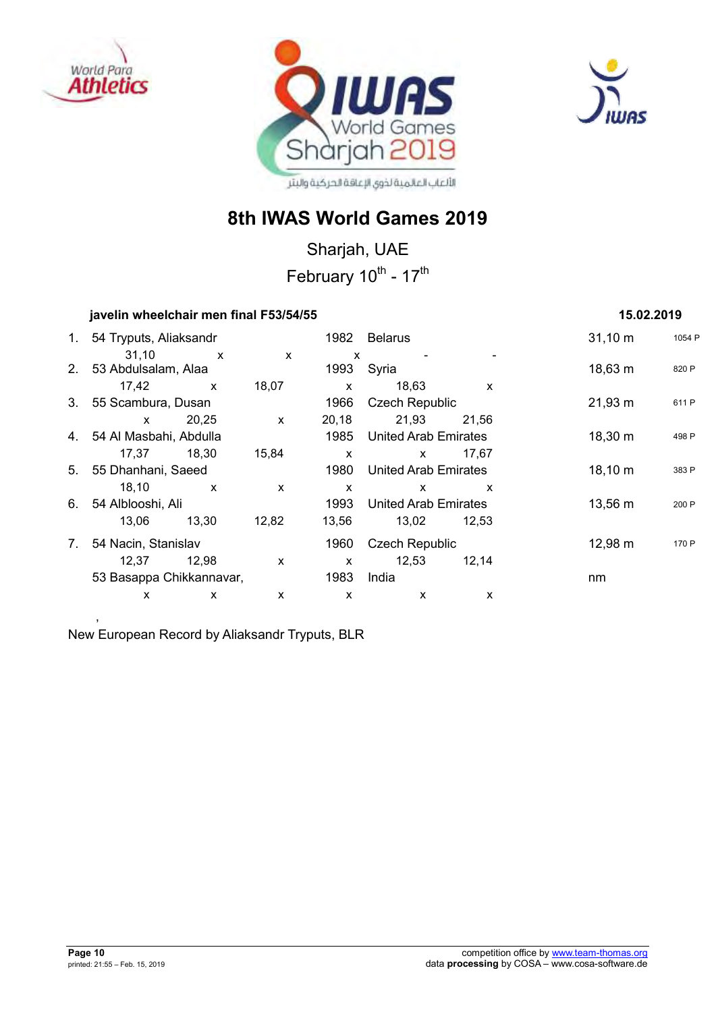





Sharjah, UAE February 10<sup>th</sup> - 17<sup>th</sup>

|             | javelin wheelchair men final F53/54/55 |              |                           | 15.02.2019   |                             |       |              |        |
|-------------|----------------------------------------|--------------|---------------------------|--------------|-----------------------------|-------|--------------|--------|
| $1_{\cdot}$ | 54 Tryputs, Aliaksandr                 |              |                           | 1982         | <b>Belarus</b>              |       | $31,10 \; m$ | 1054 P |
|             | 31,10<br>2. 53 Abdulsalam, Alaa        | $\mathsf{X}$ | $\boldsymbol{\mathsf{x}}$ | X<br>1993    | Syria                       |       | $18,63 \; m$ | 820 P  |
|             | 17,42                                  | $\mathsf{x}$ | 18,07                     | $\mathsf{x}$ | 18,63                       | X     |              |        |
|             | 3. 55 Scambura, Dusan                  |              |                           | 1966         | <b>Czech Republic</b>       |       | $21,93 \; m$ | 611 P  |
|             | $\mathsf{x}$                           | 20,25        | $\mathsf{x}$              | 20,18        | 21,93                       | 21.56 |              |        |
|             | 4. 54 Al Masbahi, Abdulla              |              |                           | 1985         | <b>United Arab Emirates</b> |       | 18,30 m      | 498 P  |
|             | 17.37                                  | 18,30        | 15,84                     | $\mathsf{x}$ | $\mathsf{x}$                | 17,67 |              |        |
| 5.          | 55 Dhanhani, Saeed                     |              |                           | 1980         | <b>United Arab Emirates</b> |       | 18,10 m      | 383 P  |
|             | 18,10                                  | $\mathsf{x}$ | $\boldsymbol{\mathsf{x}}$ | X            | X                           | X     |              |        |
| 6.          | 54 Alblooshi, Ali                      |              |                           | 1993         | <b>United Arab Emirates</b> |       | 13,56 m      | 200 P  |
|             | 13,06                                  | 13,30        | 12,82                     | 13,56        | 13,02                       | 12,53 |              |        |
| 7.          | 54 Nacin, Stanislav                    |              |                           | 1960         | <b>Czech Republic</b>       |       | $12,98 \; m$ | 170 P  |
|             | 12,37                                  | 12,98        | X                         | $\mathsf{x}$ | 12,53                       | 12,14 |              |        |
|             | 53 Basappa Chikkannavar,               |              |                           | 1983         | India                       |       | nm           |        |
|             | X                                      | X            | X                         | X            | X                           | х     |              |        |
|             |                                        |              |                           |              |                             |       |              |        |

New European Record by Aliaksandr Tryputs, BLR

,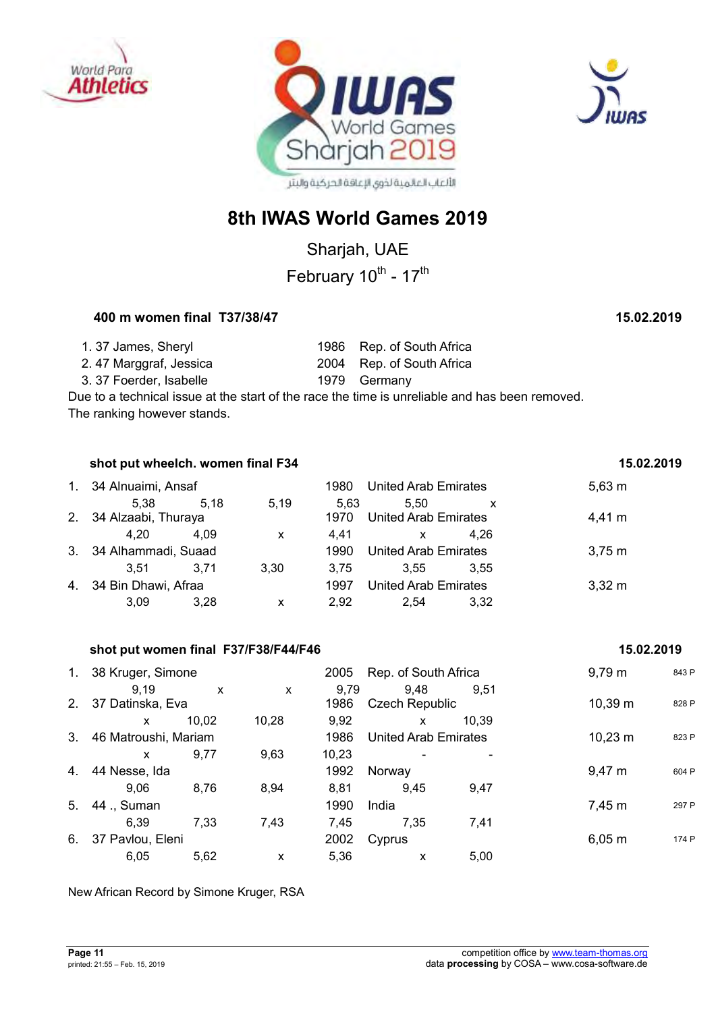





Sharjah, UAE

February 10<sup>th</sup> - 17<sup>th</sup>

## **400 m women final T37/38/47 15.02.2019**

| 1.37 James, Sheryl     | 1986 Rep. of South Africa |
|------------------------|---------------------------|
| 2.47 Marggraf, Jessica | 2004 Rep. of South Africa |
| 3.37 Foerder, Isabelle | 1979 Germany              |

Due to a technical issue at the start of the race the time is unreliable and has been removed. The ranking however stands.

|         | shot put wheelch. women final F34 |                    |      | 15.02.2019 |                             |      |                  |
|---------|-----------------------------------|--------------------|------|------------|-----------------------------|------|------------------|
| $1_{-}$ |                                   | 34 Alnuaimi, Ansaf |      | 1980       | United Arab Emirates        |      | $5,63 \; m$      |
|         | 5.38                              | 5.18               | 5,19 | 5.63       | 5.50                        | x    |                  |
|         | 2. 34 Alzaabi, Thuraya            |                    |      | 1970       | <b>United Arab Emirates</b> |      | 4.41 m           |
|         | 4.20                              | 4.09               | X    | 4.41       | X                           | 4.26 |                  |
|         | 3. 34 Alhammadi, Suaad            |                    |      | 1990       | <b>United Arab Emirates</b> |      | 3.75 m           |
|         | 3.51                              | 3.71               | 3.30 | 3.75       | 3.55                        | 3.55 |                  |
|         | 4. 34 Bin Dhawi, Afraa            |                    |      | 1997       | <b>United Arab Emirates</b> |      | $3.32 \text{ m}$ |
|         | 3.09                              | 3.28               | X    | 2.92       | 2.54                        | 3,32 |                  |

|                | shot put women final F37/F38/F44/F46 |       |       |       |                             |       | 15.02.2019   |       |
|----------------|--------------------------------------|-------|-------|-------|-----------------------------|-------|--------------|-------|
| 1.             | 38 Kruger, Simone                    |       |       | 2005  | Rep. of South Africa        |       | $9,79 \; m$  | 843 P |
|                | 9.19                                 | X     | X     | 9,79  | 9,48                        | 9.51  |              |       |
| 2 <sub>1</sub> | 37 Datinska, Eva                     |       |       | 1986  | <b>Czech Republic</b>       |       | 10,39 m      | 828 P |
|                | X                                    | 10.02 | 10,28 | 9,92  | X                           | 10.39 |              |       |
| 3.             | 46 Matroushi, Mariam                 |       |       | 1986  | <b>United Arab Emirates</b> |       | $10,23 \; m$ | 823 P |
|                | X                                    | 9,77  | 9,63  | 10,23 |                             |       |              |       |
| 4.             | 44 Nesse, Ida                        |       |       | 1992  | Norway                      |       | $9,47 \; m$  | 604 P |
|                | 9.06                                 | 8,76  | 8,94  | 8,81  | 9.45                        | 9,47  |              |       |
| 5.             | 44 ., Suman                          |       |       | 1990  | India                       |       | 7,45 m       | 297 P |
|                | 6.39                                 | 7,33  | 7,43  | 7,45  | 7,35                        | 7,41  |              |       |
| 6.             | 37 Pavlou, Eleni                     |       |       | 2002  | Cyprus                      |       | $6,05 \; m$  | 174 P |
|                | 6,05                                 | 5,62  | X     | 5.36  | X                           | 5,00  |              |       |

New African Record by Simone Kruger, RSA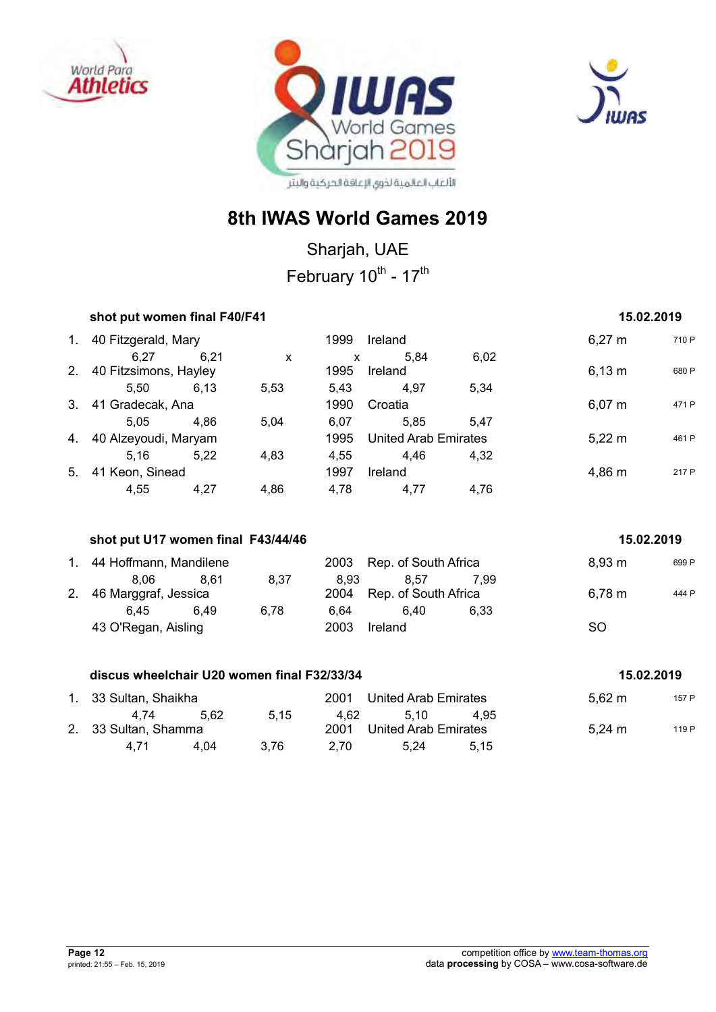





## **8th IWAS World Games 2019**

Sharjah, UAE February 10<sup>th</sup> - 17<sup>th</sup>

|                | shot put women final F40/F41                |      |              | 15.02.2019   |                             |      |             |       |
|----------------|---------------------------------------------|------|--------------|--------------|-----------------------------|------|-------------|-------|
|                | 1. 40 Fitzgerald, Mary                      |      |              | 1999         | Ireland                     |      | $6,27 \; m$ | 710 P |
|                | 6,27                                        | 6,21 | $\mathsf{x}$ | $\mathsf{x}$ | 5,84                        | 6,02 |             |       |
|                | 2. 40 Fitzsimons, Hayley                    |      |              | 1995         | Ireland                     |      | $6,13 \; m$ | 680 P |
|                | 5,50 6,13                                   |      | 5,53         | 5,43         | 4,97                        | 5,34 |             |       |
|                | 3. 41 Gradecak, Ana                         |      |              | 1990         | Croatia                     |      | $6,07 \; m$ | 471 P |
|                | 5,05                                        | 4,86 | 5,04         | 6,07         | 5,85                        | 5,47 |             |       |
|                | 4. 40 Alzeyoudi, Maryam                     |      |              | 1995         | <b>United Arab Emirates</b> |      | $5,22 \, m$ | 461 P |
|                | 5,16                                        | 5,22 | 4,83         | 4,55         | 4,46                        | 4,32 |             |       |
|                | 5. 41 Keon, Sinead                          |      |              | 1997         | Ireland                     |      | 4,86 m      | 217 P |
|                | 4,55                                        | 4,27 | 4,86         | 4,78         | 4,77                        | 4,76 |             |       |
|                | shot put U17 women final F43/44/46          |      |              |              |                             |      | 15.02.2019  |       |
|                | 1. 44 Hoffmann, Mandilene                   |      |              | 2003         | Rep. of South Africa        |      | 8,93 m      | 699 P |
|                | 8,06                                        | 8,61 | 8,37         | 8,93         | 8,57                        | 7,99 |             |       |
| 2 <sup>1</sup> | 46 Marggraf, Jessica                        |      |              | 2004         | Rep. of South Africa        |      | $6,78 \; m$ | 444 P |
|                | 6,45                                        | 6,49 | 6,78         | 6,64         | 6,40                        | 6,33 |             |       |
|                | 43 O'Regan, Aisling                         |      |              | 2003         | Ireland                     |      | <b>SO</b>   |       |
|                | discus wheelchair U20 women final F32/33/34 |      |              |              |                             |      | 15.02.2019  |       |

| 1. 33 Sultan, Shaikha        |       |      | 2001         | United Arab Emirates         |      | $5,62 \; m$        | 157 P |
|------------------------------|-------|------|--------------|------------------------------|------|--------------------|-------|
| 4.74<br>2. 33 Sultan, Shamma | -5.62 | 5.15 | 4.62<br>2001 | 5.10<br>United Arab Emirates | 4.95 | $5,24 \, \text{m}$ | 119 P |
| 4.71                         | 4.04  | 3.76 | 2.70         | 5.24                         | 5.15 |                    |       |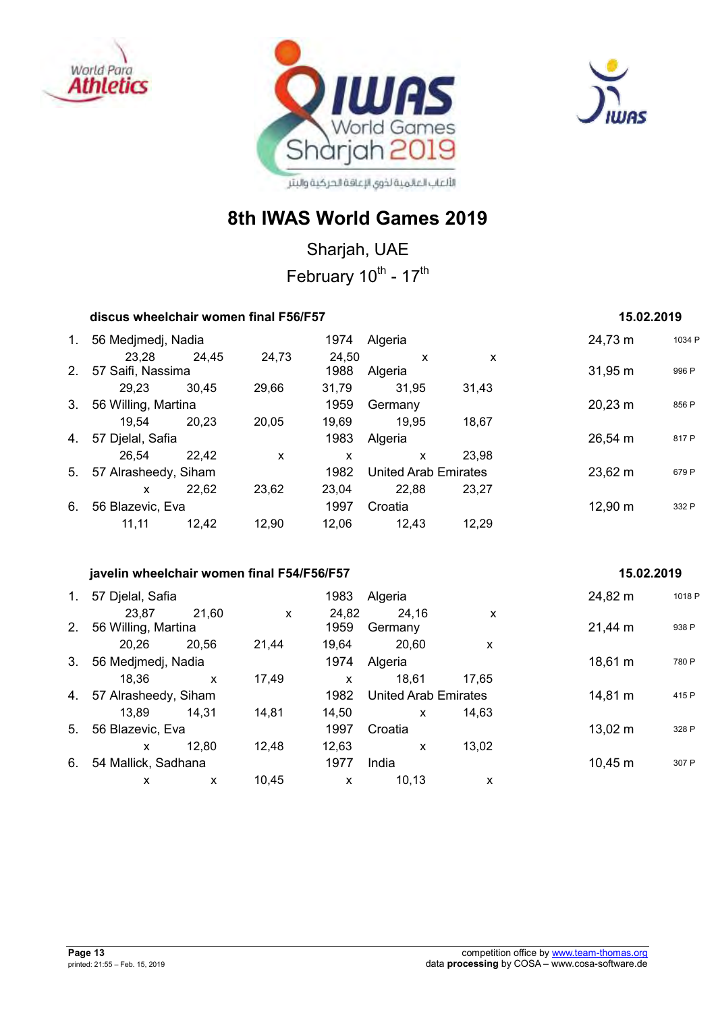





## **8th IWAS World Games 2019**

Sharjah, UAE February 10<sup>th</sup> - 17<sup>th</sup>

| discus wheelchair women final F56/F57      | 15.02.2019   |              |              |                             |       |                     |        |
|--------------------------------------------|--------------|--------------|--------------|-----------------------------|-------|---------------------|--------|
| 1. 56 Medjmedj, Nadia                      |              |              |              | 1974 Algeria                |       | 24,73 m             | 1034 P |
|                                            | 23,28 24,45  | 24,73        | 24,50        | $\mathsf{X}$                | X     |                     |        |
| 2. 57 Saifi, Nassima                       |              |              |              | 1988 Algeria                |       | $31,95 \; m$        | 996 P  |
| 29,23 30,45                                |              | 29,66        |              | 31,79 31,95                 | 31,43 |                     |        |
| 3. 56 Willing, Martina                     |              |              | 1959         | Germany                     |       | $20,23 \, \text{m}$ | 856 P  |
| 19,54 20,23                                |              | 20,05        |              | 19,69 19,95                 | 18,67 |                     |        |
| 4. 57 Djelal, Safia                        |              |              | 1983         | Algeria                     |       | $26,54 \, m$        | 817 P  |
| 26,54 22,42                                |              | $\mathsf{x}$ | $\mathsf{x}$ | $\mathsf{x}$                | 23,98 |                     |        |
| 5. 57 Alrasheedy, Siham                    |              |              | 1982         | <b>United Arab Emirates</b> |       | 23,62 m             | 679 P  |
| $\mathsf{X}$ and $\mathsf{X}$              | 22,62        | 23,62        |              | 23,04 22,88                 | 23,27 |                     |        |
| 6. 56 Blazevic, Eva                        |              |              | 1997         | Croatia                     |       | 12,90 m             | 332 P  |
| 11,11 12,42                                |              | 12,90        |              | 12,06 12,43 12,29           |       |                     |        |
| javelin wheelchair women final F54/F56/F57 |              |              |              |                             |       | 15.02.2019          |        |
| 1. 57 Djelal, Safia                        |              |              | 1983         | Algeria                     |       | 24,82 m             | 1018 P |
| 23,87                                      | 21,60        | $\mathsf{x}$ | 24,82        | 24,16                       | X     |                     |        |
| 2. 56 Willing, Martina                     |              |              | 1959         | Germany                     |       | $21,44 \, m$        | 938 P  |
| 20,26 20,56                                |              | 21,44        |              | 19,64 20,60                 | X     |                     |        |
| 3. 56 Medjmedj, Nadia                      |              |              | 1974         | Algeria                     |       | 18,61 m             | 780 P  |
| 18,36                                      | $\mathsf{x}$ | 17,49        | $\mathsf{x}$ | 18,61                       | 17,65 |                     |        |
| 4. 57 Alrasheedy, Siham                    |              |              | 1982         | <b>United Arab Emirates</b> |       | 14,81 m             | 415 P  |
| 13,89 14,31                                |              | 14,81        |              | 14,50<br>$\mathsf{x}$       | 14,63 |                     |        |
| 5. 56 Blazevic, Eva                        |              |              | 1997         | Croatia                     |       | $13,02 \; m$        | 328 P  |
| $\mathsf{x}$                               | 12,80        | 12,48        | 12,63        | $\boldsymbol{\mathsf{x}}$   | 13,02 |                     |        |

6. 54 Mallick, Sadhana 1977 India 1977 India 10,45 m 307 P

x x 10,45 x 10,13 x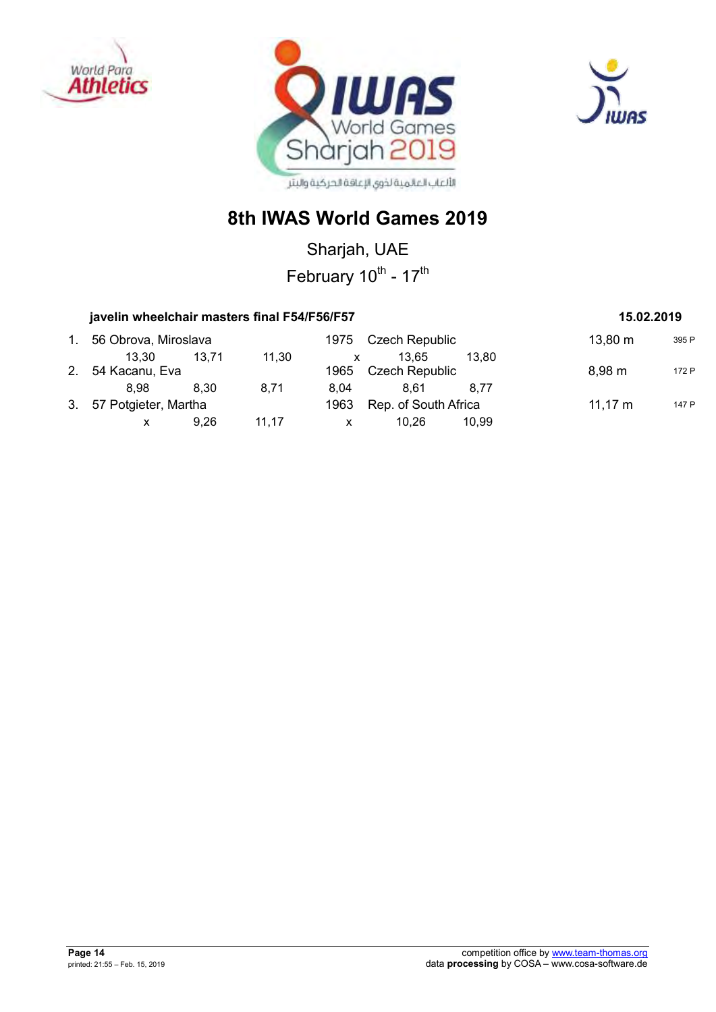





Sharjah, UAE February 10<sup>th</sup> - 17<sup>th</sup>

#### javelin wheelchair masters final F54/F56/F57 **15.02.2019** 15.02.2019

## 1. 56 Obrova, Miroslava 1975 Czech Republic 13,80 m  $395 P$ 13,30 13,71 11,30 x 13,65 13,80 2. 54 Kacanu, Eva **1965** Czech Republic 8,98 m 172 P 8,98 8,30 8,71 8,04 8,61 8,77 3. 57 Potgieter, Martha 1963 Rep. of South Africa 11,17 m 147 P x 9,26 11,17 x 10,26 10,99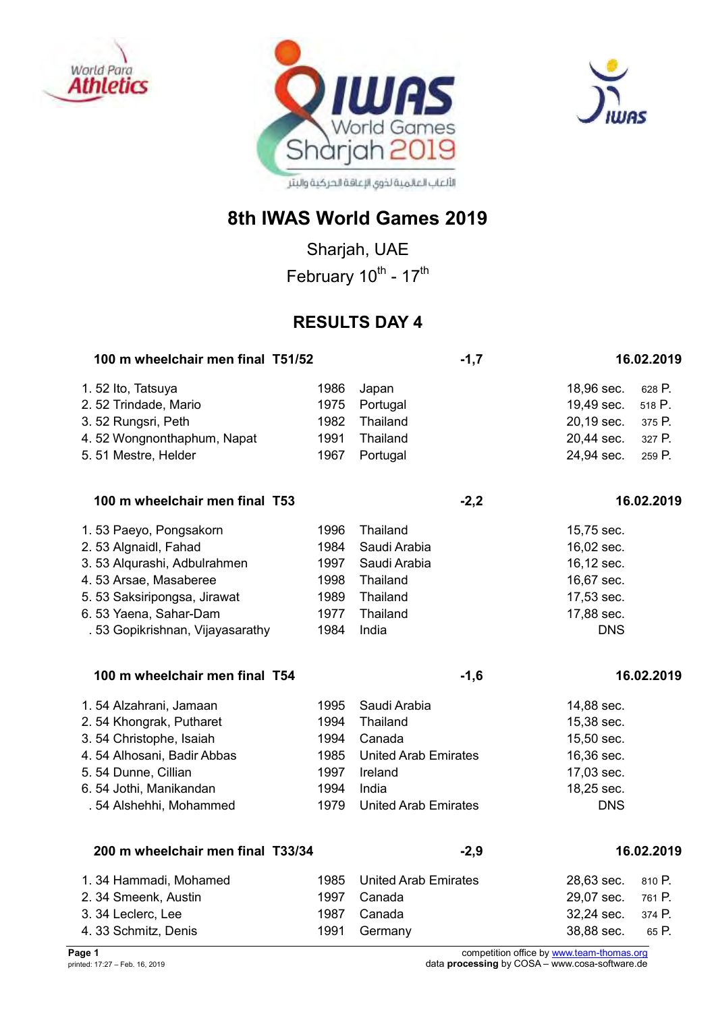





Sharjah, UAE February 10<sup>th</sup> - 17<sup>th</sup>

## **RESULTS DAY 4**

| 100 m wheelchair men final T51/52 |      | $-1,7$                      |            | 16.02.2019 |
|-----------------------------------|------|-----------------------------|------------|------------|
| 1.52 Ito, Tatsuya                 | 1986 | Japan                       | 18,96 sec. | 628 P.     |
| 2.52 Trindade, Mario              | 1975 | Portugal                    | 19,49 sec. | 518 P.     |
| 3.52 Rungsri, Peth                | 1982 | Thailand                    | 20,19 sec. | 375 P.     |
| 4.52 Wongnonthaphum, Napat        | 1991 | Thailand                    | 20,44 sec. | 327 P.     |
| 5.51 Mestre, Helder               | 1967 | Portugal                    | 24,94 sec. | 259 P.     |
| 100 m wheelchair men final T53    |      | $-2,2$                      |            | 16.02.2019 |
| 1.53 Paeyo, Pongsakorn            | 1996 | Thailand                    | 15,75 sec. |            |
| 2.53 Algnaidl, Fahad              | 1984 | Saudi Arabia                | 16,02 sec. |            |
| 3.53 Algurashi, Adbulrahmen       | 1997 | Saudi Arabia                | 16,12 sec. |            |
| 4.53 Arsae, Masaberee             | 1998 | Thailand                    | 16,67 sec. |            |
| 5.53 Saksiripongsa, Jirawat       | 1989 | Thailand                    | 17,53 sec. |            |
| 6.53 Yaena, Sahar-Dam             | 1977 | Thailand                    | 17,88 sec. |            |
| . 53 Gopikrishnan, Vijayasarathy  | 1984 | India                       | <b>DNS</b> |            |
| 100 m wheelchair men final T54    |      | $-1,6$                      |            | 16.02.2019 |
| 1.54 Alzahrani, Jamaan            | 1995 | Saudi Arabia                | 14,88 sec. |            |
| 2. 54 Khongrak, Putharet          | 1994 | Thailand                    | 15,38 sec. |            |
| 3.54 Christophe, Isaiah           | 1994 | Canada                      | 15,50 sec. |            |
| 4.54 Alhosani, Badir Abbas        | 1985 | <b>United Arab Emirates</b> | 16,36 sec. |            |
| 5.54 Dunne, Cillian               | 1997 | Ireland                     | 17,03 sec. |            |
| 6.54 Jothi, Manikandan            | 1994 | India                       | 18,25 sec. |            |
| . 54 Alshehhi, Mohammed           | 1979 | <b>United Arab Emirates</b> | <b>DNS</b> |            |
| 200 m wheelchair men final T33/34 |      | $-2,9$                      |            | 16.02.2019 |
| 1.34 Hammadi, Mohamed             | 1985 | <b>United Arab Emirates</b> | 28,63 sec. | 810 P.     |
| 2. 34 Smeenk, Austin              | 1997 | Canada                      | 29,07 sec. | 761 P.     |
| 3. 34 Leclerc, Lee                | 1987 | Canada                      | 32,24 sec. | 374 P.     |
| 4. 33 Schmitz, Denis              | 1991 | Germany                     | 38,88 sec. | 65 P.      |
|                                   |      |                             |            |            |

**Page 1** competition office by [www.team-thomas.org](http://www.team-thomas.org/) printed: 17:27 – Feb. 16, 2019 data **processing** by COSA – www.cosa-software.de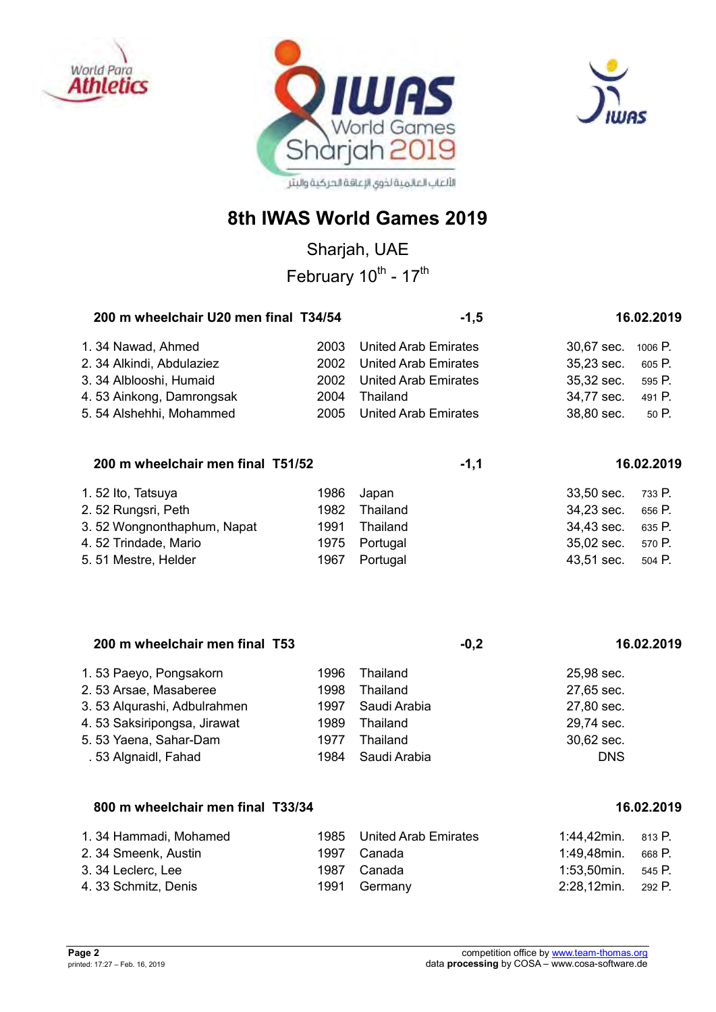





Sharjah, UAE February 10<sup>th</sup> - 17<sup>th</sup>

| 200 m wheelchair U20 men final T34/54 |      | $-1,5$                      | 16.02.2019            |  |
|---------------------------------------|------|-----------------------------|-----------------------|--|
| 1.34 Nawad, Ahmed                     | 2003 | <b>United Arab Emirates</b> | 30,67 sec. 1006 P.    |  |
| 2. 34 Alkindi, Abdulaziez             |      | 2002 United Arab Emirates   | 35,23 sec. 605 P.     |  |
| 3. 34 Alblooshi, Humaid               |      | 2002 United Arab Emirates   | 35,32 sec.<br>595 P.  |  |
| 4.53 Ainkong, Damrongsak              | 2004 | Thailand                    | 34,77 sec.<br>491 P.  |  |
| 5.54 Alshehhi, Mohammed               |      | 2005 United Arab Emirates   | 38,80 sec.<br>$50P$ . |  |

#### 200 m wheelchair men final T51/52 **16.02.2019** -1,1

| 1.52 Ito, Tatsuya          | 1986 | Japan         | 33,50 sec. 733 P. |        |
|----------------------------|------|---------------|-------------------|--------|
| 2.52 Rungsri, Peth         | 1982 | Thailand      | 34,23 sec.        | 656 P. |
| 3.52 Wongnonthaphum, Napat |      | 1991 Thailand | 34,43 sec.        | 635 P. |
| 4.52 Trindade, Mario       |      | 1975 Portugal | 35,02 sec. 570 P. |        |
| 5.51 Mestre, Helder        | 1967 | Portugal      | 43,51 sec.        | 504 P. |

| 200 m wheelchair men final T53 |      | $-0,2$       | 16.02.2019 |
|--------------------------------|------|--------------|------------|
| 1.53 Paeyo, Pongsakorn         | 1996 | Thailand     | 25.98 sec. |
| 2.53 Arsae, Masaberee          | 1998 | Thailand     | 27,65 sec. |
| 3.53 Algurashi, Adbulrahmen    | 1997 | Saudi Arabia | 27,80 sec. |
| 4.53 Saksiripongsa, Jirawat    | 1989 | Thailand     | 29,74 sec. |
| 5.53 Yaena, Sahar-Dam          | 1977 | Thailand     | 30,62 sec. |
| .53 Algnaidl, Fahad            | 1984 | Saudi Arabia | <b>DNS</b> |

### **800 m wheelchair men final T33/34 16.02.2019**

| 1.34 Hammadi, Mohamed | 1985 United Arab Emirates | 1:44,42min. $813$ P. |        |
|-----------------------|---------------------------|----------------------|--------|
| 2. 34 Smeenk, Austin  | 1997 Canada               | 1:49,48min.          | 668 P. |
| 3. 34 Leclerc, Lee    | 1987 Canada               | 1:53,50min. 545 P.   |        |
| 4. 33 Schmitz, Denis  | 1991 Germany              | 2:28,12min. 292 P.   |        |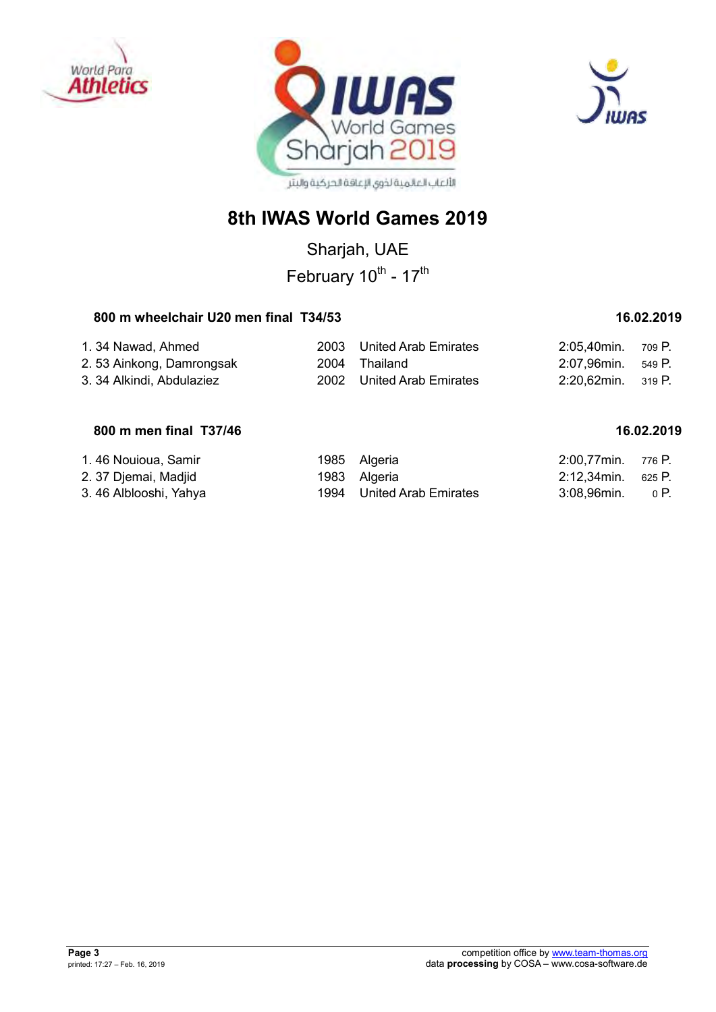





Sharjah, UAE February 10<sup>th</sup> - 17<sup>th</sup>

## 800 m wheelchair U20 men final T34/53 **16.02.2019**

| 1. 34 Nawad, Ahmed        | 2003 United Arab Emirates | 2:05.40min. 709 P. |  |
|---------------------------|---------------------------|--------------------|--|
| 2.53 Ainkong, Damrongsak  | 2004 Thailand             | 2:07,96min. 549 P. |  |
| 3. 34 Alkindi. Abdulaziez | 2002 United Arab Emirates | 2:20.62min. 319 P. |  |

## **800 m men final T37/46** 16.02.2019

| 1.46 Nouioua, Samir    | 1985 Algeria              | 2:00,77min. 776 P.     |  |
|------------------------|---------------------------|------------------------|--|
| 2. 37 Djemai, Madjid   | 1983 Algeria              | 2:12,34min. 625 P.     |  |
| 3. 46 Alblooshi, Yahya | 1994 United Arab Emirates | $3:08,96$ min. $0 P$ . |  |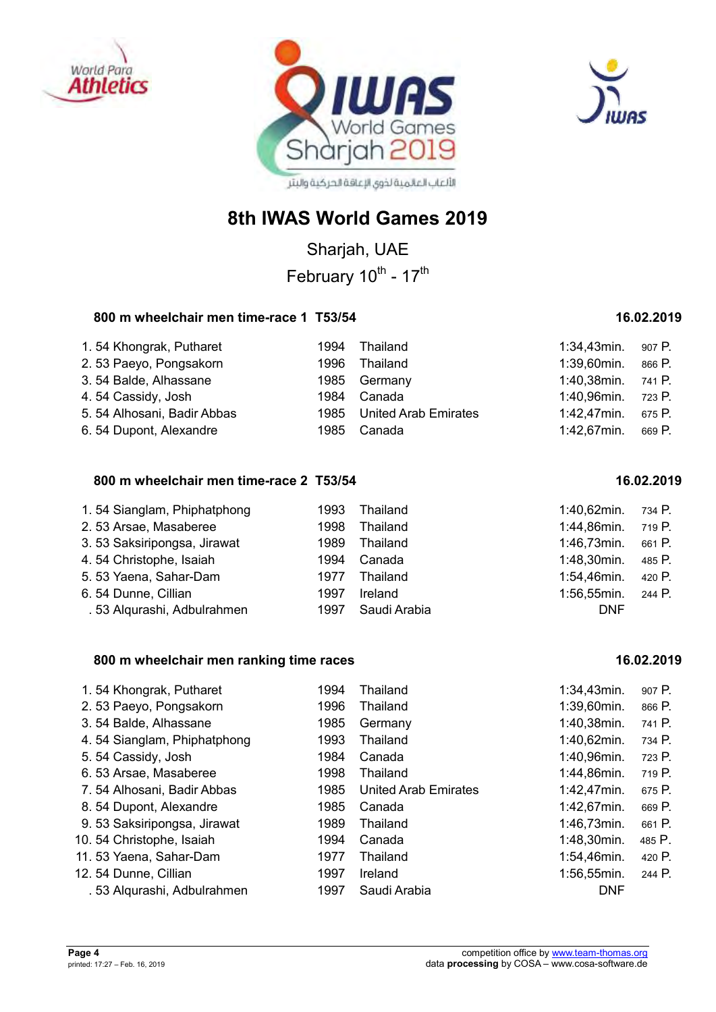





Sharjah, UAE February 10<sup>th</sup> - 17<sup>th</sup>

#### **800 m wheelchair men time-race 1 T53/54 16.02.2019**

| 1.54 Khongrak, Putharet     | 1994 | Thailand                  | 1:34,43min. | 907 P. |
|-----------------------------|------|---------------------------|-------------|--------|
| 2.53 Paeyo, Pongsakorn      | 1996 | Thailand                  | 1:39,60min. | 866 P. |
| 3.54 Balde, Alhassane       |      | 1985 Germany              | 1:40,38min. | 741 P. |
| 4.54 Cassidy, Josh          | 1984 | Canada                    | 1:40,96min. | 723 P. |
| 5. 54 Alhosani, Badir Abbas |      | 1985 United Arab Emirates | 1:42,47min. | 675 P. |
| 6.54 Dupont, Alexandre      | 1985 | Canada                    | 1:42,67min. | 669 P. |

## **800 m wheelchair men time-race 2 T53/54 16.02.2019**

| 1.54 Sianglam, Phiphatphong | 1993 | Thailand     | $1:40,62$ min. | 734 P. |
|-----------------------------|------|--------------|----------------|--------|
| 2.53 Arsae, Masaberee       | 1998 | Thailand     | 1:44,86min.    | 719 P. |
| 3.53 Saksiripongsa, Jirawat | 1989 | Thailand     | 1:46,73min.    | 661 P. |
| 4.54 Christophe, Isaiah     | 1994 | Canada       | 1:48,30min.    | 485 P. |
| 5.53 Yaena, Sahar-Dam       | 1977 | Thailand     | 1:54,46min.    | 420 P. |
| 6.54 Dunne, Cillian         | 1997 | Ireland      | 1:56,55min.    | 244 P. |
| . 53 Alqurashi, Adbulrahmen | 1997 | Saudi Arabia | <b>DNF</b>     |        |

#### **800 m wheelchair men ranking time races 16.02.2019**

| 1994 | Thailand                    | $1:34,43$ min. | 907 P. |
|------|-----------------------------|----------------|--------|
| 1996 | Thailand                    | 1:39,60min.    | 866 P. |
| 1985 | Germany                     | 1:40,38min.    | 741 P. |
| 1993 | Thailand                    | 1:40,62min.    | 734 P. |
| 1984 | Canada                      | 1:40,96min.    | 723 P. |
| 1998 | Thailand                    | 1:44,86min.    | 719 P. |
| 1985 | <b>United Arab Emirates</b> | 1:42,47min.    | 675 P. |
| 1985 | Canada                      | $1:42,67$ min. | 669 P. |
| 1989 | Thailand                    | 1:46,73min.    | 661 P. |
| 1994 | Canada                      | 1:48,30min.    | 485 P. |
| 1977 | Thailand                    | 1:54,46min.    | 420 P. |
| 1997 | Ireland                     | $1:56,55$ min. | 244 P. |
| 1997 | Saudi Arabia                | <b>DNF</b>     |        |
|      |                             |                |        |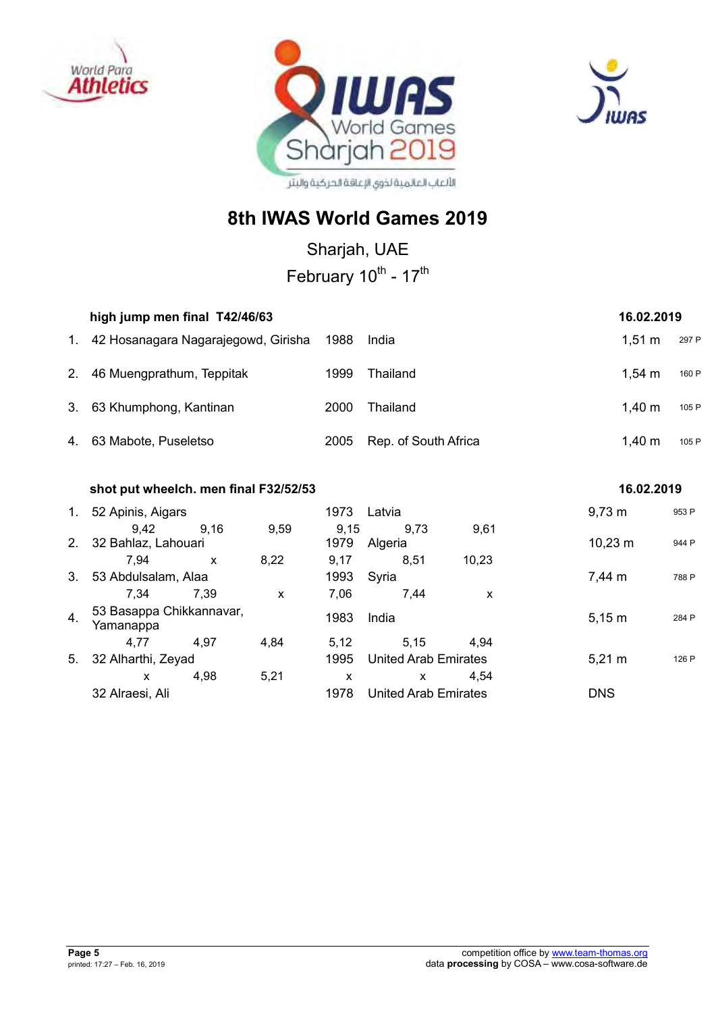





Sharjah, UAE

February 10<sup>th</sup> - 17<sup>th</sup>

|             | high jump men final T42/46/63<br>16.02.2019 |      |                      |                    |       |  |  |
|-------------|---------------------------------------------|------|----------------------|--------------------|-------|--|--|
| $1_{\cdot}$ | 42 Hosanagara Nagarajegowd, Girisha         | 1988 | India                | $1.51 \text{ m}$   | 297 P |  |  |
| 2.          | 46 Muengprathum, Teppitak                   | 1999 | Thailand             | $1.54 \text{ m}$   | 160 P |  |  |
|             | 3. 63 Khumphong, Kantinan                   | 2000 | Thailand             | 1.40 m             | 105 P |  |  |
|             | 4. 63 Mabote, Puseletso                     | 2005 | Rep. of South Africa | $1,40 \; \text{m}$ | 105 P |  |  |

|                           |              |                                                                                            | 16.02.2019                            |                 |       |                                                     |  |                                                                                   |
|---------------------------|--------------|--------------------------------------------------------------------------------------------|---------------------------------------|-----------------|-------|-----------------------------------------------------|--|-----------------------------------------------------------------------------------|
|                           |              |                                                                                            | 1973                                  | Latvia          |       |                                                     |  | 953 P                                                                             |
| 9.42                      | 9.16         | 9,59                                                                                       | 9,15<br>1979                          | 9,73<br>Algeria | 9,61  |                                                     |  | 944 P                                                                             |
| 7.94                      | $\mathsf{x}$ | 8,22                                                                                       | 9,17                                  | 8,51            | 10,23 |                                                     |  |                                                                                   |
| 53 Abdulsalam, Alaa<br>3. |              |                                                                                            | 1993                                  | Syria           |       |                                                     |  | 788 P                                                                             |
| 7,34                      | 7.39         | X                                                                                          | 7.06                                  | 7,44            | x     |                                                     |  |                                                                                   |
| Yamanappa                 |              |                                                                                            | 1983                                  | India           |       |                                                     |  | 284 P                                                                             |
| 4.77                      | 4.97         | 4.84                                                                                       | 5.12                                  | 5.15            | 4.94  |                                                     |  |                                                                                   |
|                           |              |                                                                                            | 1995                                  |                 |       |                                                     |  | 126 P                                                                             |
| X                         | 4.98         | 5,21                                                                                       | x                                     | X               | 4.54  |                                                     |  |                                                                                   |
| 32 Alraesi, Ali           |              |                                                                                            | 1978                                  |                 |       |                                                     |  |                                                                                   |
|                           |              | 52 Apinis, Aigars<br>32 Bahlaz, Lahouari<br>53 Basappa Chikkannavar,<br>32 Alharthi, Zeyad | shot put wheelch. men final F32/52/53 |                 |       | <b>United Arab Emirates</b><br>United Arab Emirates |  | $9,73 \; m$<br>$10,23 \; m$<br>7,44 m<br>$5,15 \; m$<br>$5,21 \; m$<br><b>DNS</b> |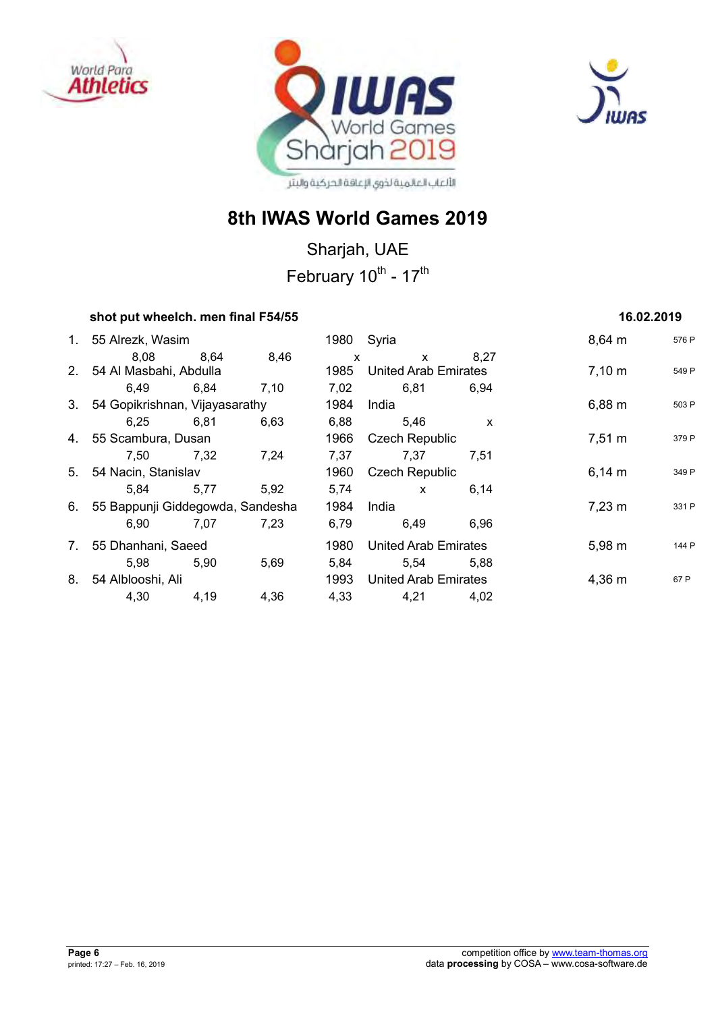





## **8th IWAS World Games 2019**

Sharjah, UAE February 10<sup>th</sup> - 17<sup>th</sup>

## **shot put wheelch. men final F54/55 16.02.2019 16.02.2019**

|    | 1. 55 Alrezk, Wasim                 |      |      |              | 1980 Syria                  |      | $8,64 \, m$        | 576 P |
|----|-------------------------------------|------|------|--------------|-----------------------------|------|--------------------|-------|
|    | 8.08                                | 8.64 | 8,46 | $\mathsf{x}$ | $\mathsf{x}$                | 8.27 |                    |       |
|    | 2. 54 Al Masbahi, Abdulla           |      |      | 1985         | <b>United Arab Emirates</b> |      | $7,10 \; m$        | 549 P |
|    | 6,49                                | 6,84 | 7,10 | 7,02         | 6,81                        | 6.94 |                    |       |
|    | 3. 54 Gopikrishnan, Vijayasarathy   |      |      | 1984         | India                       |      | $6,88 \; m$        | 503 P |
|    | 6.25                                | 6,81 | 6,63 | 6,88         | 5,46                        | X    |                    |       |
|    | 4. 55 Scambura, Dusan               |      |      | 1966         | <b>Czech Republic</b>       |      | $7,51 \; \text{m}$ | 379 P |
|    | 7.50                                | 7,32 | 7,24 | 7,37         | 7.37                        | 7.51 |                    |       |
|    | 5. 54 Nacin, Stanislav              |      |      | 1960         | <b>Czech Republic</b>       |      | $6,14 \; m$        | 349 P |
|    | 5.84                                | 5,77 | 5,92 | 5,74         | $\mathsf{x}$                | 6,14 |                    |       |
|    | 6. 55 Bappunji Giddegowda, Sandesha |      |      | 1984         | India                       |      | $7,23 \; m$        | 331 P |
|    | 6,90                                | 7.07 | 7,23 | 6,79         | 6,49                        | 6,96 |                    |       |
| 7. | 55 Dhanhani, Saeed                  |      |      | 1980         | <b>United Arab Emirates</b> |      | $5,98 \; m$        | 144 P |
|    | 5.98                                | 5.90 | 5,69 | 5,84         | 5.54                        | 5.88 |                    |       |
| 8. | 54 Alblooshi, Ali                   |      |      | 1993         | <b>United Arab Emirates</b> |      | $4,36 \; m$        | 67 P  |
|    | 4,30                                | 4,19 | 4,36 | 4.33         | 4,21                        | 4,02 |                    |       |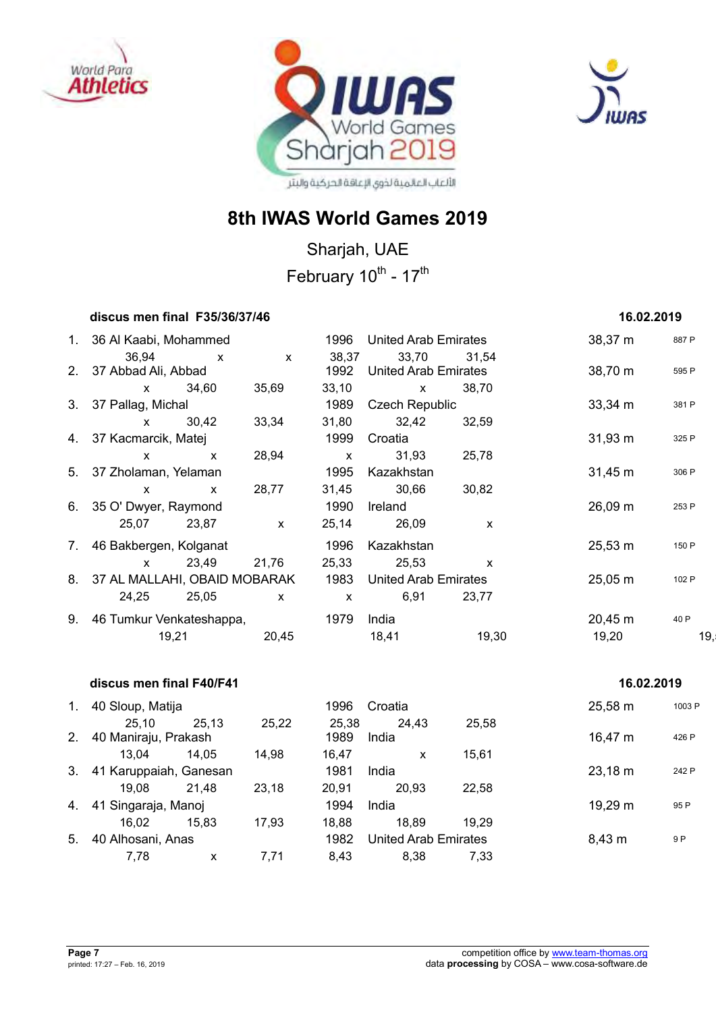





Sharjah, UAE February 10<sup>th</sup> - 17<sup>th</sup>

| discus men final F35/36/37/46        |              |              |              |                             |              | 16.02.2019          |       |
|--------------------------------------|--------------|--------------|--------------|-----------------------------|--------------|---------------------|-------|
| 1. 36 Al Kaabi, Mohammed             |              |              | 1996         | United Arab Emirates        |              | $38,37 \; m$        | 887 P |
| 36,94                                | $\mathsf{x}$ | $\mathsf{x}$ | 38,37        |                             | 33,70 31,54  |                     |       |
| 2. 37 Abbad Ali, Abbad               |              |              | 1992         | <b>United Arab Emirates</b> |              | 38,70 m             | 595 P |
| x 34,60                              |              | 35,69        | 33,10        | $\mathsf{X}$                | 38,70        |                     |       |
| 3. 37 Pallag, Michal                 |              |              | 1989         | <b>Czech Republic</b>       |              | $33,34 \, \text{m}$ | 381 P |
| x 30,42                              |              | 33,34        | 31,80        | 32,42                       | 32,59        |                     |       |
| 4. 37 Kacmarcik, Matej               |              |              | 1999         | Croatia                     |              | $31,93 \; m$        | 325 P |
| $\mathsf{x}$                         | $\mathsf{X}$ | 28,94        | $\mathsf{x}$ | 31,93                       | 25,78        |                     |       |
| 5. 37 Zholaman, Yelaman              |              |              | 1995         | Kazakhstan                  |              | $31,45 \; m$        | 306 P |
| $\mathsf{x}$                         | $\mathsf{X}$ | 28,77        | 31,45        | 30,66                       | 30,82        |                     |       |
| 6. 35 O' Dwyer, Raymond              |              |              | 1990         | Ireland                     |              | $26,09 \, \text{m}$ | 253 P |
| 25,07                                | 23,87        | $\mathsf{x}$ | 25,14        | 26,09                       | X            |                     |       |
| 7. 46 Bakbergen, Kolganat            |              |              | 1996         | Kazakhstan                  |              | $25,53 \, \text{m}$ | 150 P |
| $\mathbf x$ and $\mathbf x$          | 23,49 21,76  |              | 25,33        | 25,53                       | $\mathsf{x}$ |                     |       |
| 8. 37 AL MALLAHI, OBAID MOBARAK 1983 |              |              |              | <b>United Arab Emirates</b> |              | $25,05 \; m$        | 102 P |
| 24,25                                | 25,05        | $\mathsf{x}$ | $\mathsf{x}$ | 6,91                        | 23,77        |                     |       |
| 9. 46 Tumkur Venkateshappa,          |              |              | 1979         | India                       |              | $20,45 \; m$        | 40 P  |
| 19,21                                |              | 20,45        |              | 18,41                       | 19,30        | 19,20               | 19,   |
|                                      |              |              |              |                             |              |                     |       |

|         | discus men final F40/F41      |       |       |               |                             |       | 16.02.2019  |        |
|---------|-------------------------------|-------|-------|---------------|-----------------------------|-------|-------------|--------|
| 1.      | 40 Sloup, Matija              |       |       | 1996          | Croatia                     |       | 25,58 m     | 1003 P |
| $2_{-}$ | 25,10<br>40 Maniraju, Prakash | 25,13 | 25,22 | 25,38<br>1989 | 24,43<br>India              | 25,58 | 16,47 m     | 426 P  |
|         | 13.04                         | 14.05 | 14,98 | 16,47         | x                           | 15,61 |             |        |
| 3.      | 41 Karuppaiah, Ganesan        |       |       | 1981          | India                       |       | 23,18 m     | 242 P  |
|         | 19.08                         | 21.48 | 23,18 | 20.91         | 20.93                       | 22.58 |             |        |
| 4.      | 41 Singaraja, Manoj           |       |       | 1994          | India                       |       | 19,29 m     | 95 P   |
|         | 16.02                         | 15.83 | 17,93 | 18,88         | 18,89                       | 19.29 |             |        |
| 5.      | 40 Alhosani, Anas             |       |       | 1982          | <b>United Arab Emirates</b> |       | $8,43 \; m$ | 9 P    |
|         | 7.78                          | x     | 7.71  | 8.43          | 8.38                        | 7,33  |             |        |
|         |                               |       |       |               |                             |       |             |        |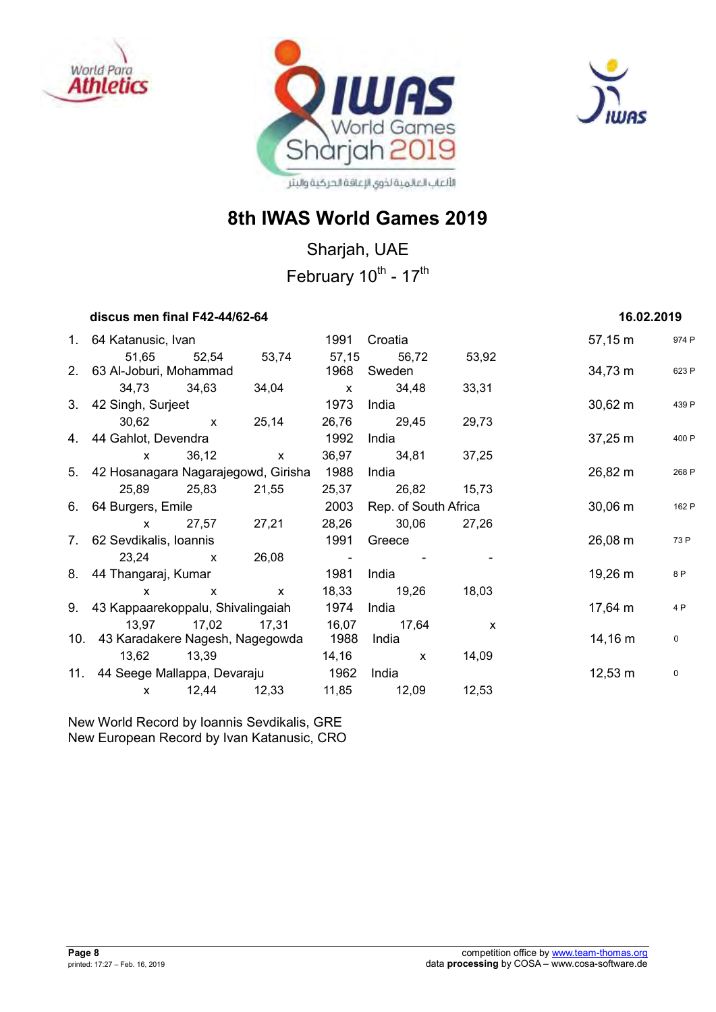





## **8th IWAS World Games 2019**

Sharjah, UAE February 10<sup>th</sup> - 17<sup>th</sup>

| discus men final F42-44/62-64             |              |                                 |       |                           |              | 16.02.2019          |       |
|-------------------------------------------|--------------|---------------------------------|-------|---------------------------|--------------|---------------------|-------|
| 1. 64 Katanusic, Ivan                     |              |                                 | 1991  | Croatia                   |              | 57,15 m             | 974 P |
| 2. 63 Al-Joburi, Mohammad                 |              | 51,65 52,54 53,74 57,15 56,72   | 1968  | Sweden                    | 53,92        | 34,73 m             | 623 P |
|                                           |              | 34,73 34,63 34,04 x 34,48 33,31 |       |                           |              |                     |       |
| 3. 42 Singh, Surjeet                      |              |                                 | 1973  | India                     |              | $30,62 \, \text{m}$ | 439 P |
|                                           |              | 30,62 x 25,14                   |       | 26,76 29,45 29,73         |              |                     |       |
| 4. 44 Gahlot, Devendra                    |              |                                 | 1992  | India                     |              | $37,25 \; m$        | 400 P |
|                                           |              | x 36,12 x                       |       | 36,97 34,81 37,25         |              |                     |       |
| 5. 42 Hosanagara Nagarajegowd, Girisha    |              |                                 | 1988  | India                     |              | 26,82 m             | 268 P |
| 25,89 25,83 21,55                         |              |                                 |       | 25,37 26,82 15,73         |              |                     |       |
| 6. 64 Burgers, Emile                      |              |                                 | 2003  | Rep. of South Africa      |              | $30,06 \; m$        | 162 P |
|                                           |              | x 27,57 27,21                   | 28,26 | 30,06 27,26               |              |                     |       |
| 7. 62 Sevdikalis, Ioannis                 |              |                                 | 1991  | Greece                    |              | 26,08 m             | 73 P  |
| $23,24$ x                                 |              | 26,08                           |       | and the second control of |              |                     |       |
| 8. 44 Thangaraj, Kumar                    |              |                                 | 1981  | India                     |              | 19,26 m             | 8 P   |
| X.                                        | $\mathsf{X}$ | $\mathsf{X}$                    |       | 18,33 19,26               | 18,03        |                     |       |
| 9. 43 Kappaarekoppalu, Shivalingaiah 1974 |              |                                 |       | India                     |              | 17,64 m             | 4 P   |
|                                           |              | 13,97 17,02 17,31 16,07         |       | 17,64                     | $\mathsf{x}$ |                     |       |
| 10. 43 Karadakere Nagesh, Nagegowda       |              |                                 | 1988  | India                     |              | $14,16 \; m$        | 0     |
| 13,62 13,39                               |              |                                 |       | 14,16 x 14,09             |              |                     |       |
| 11. 44 Seege Mallappa, Devaraju 1962      |              |                                 |       | India                     |              | $12,53 \; m$        | 0     |
| $\mathsf{x}$                              |              | 12,44 12,33 11,85 12,09 12,53   |       |                           |              |                     |       |

New World Record by Ioannis Sevdikalis, GRE New European Record by Ivan Katanusic, CRO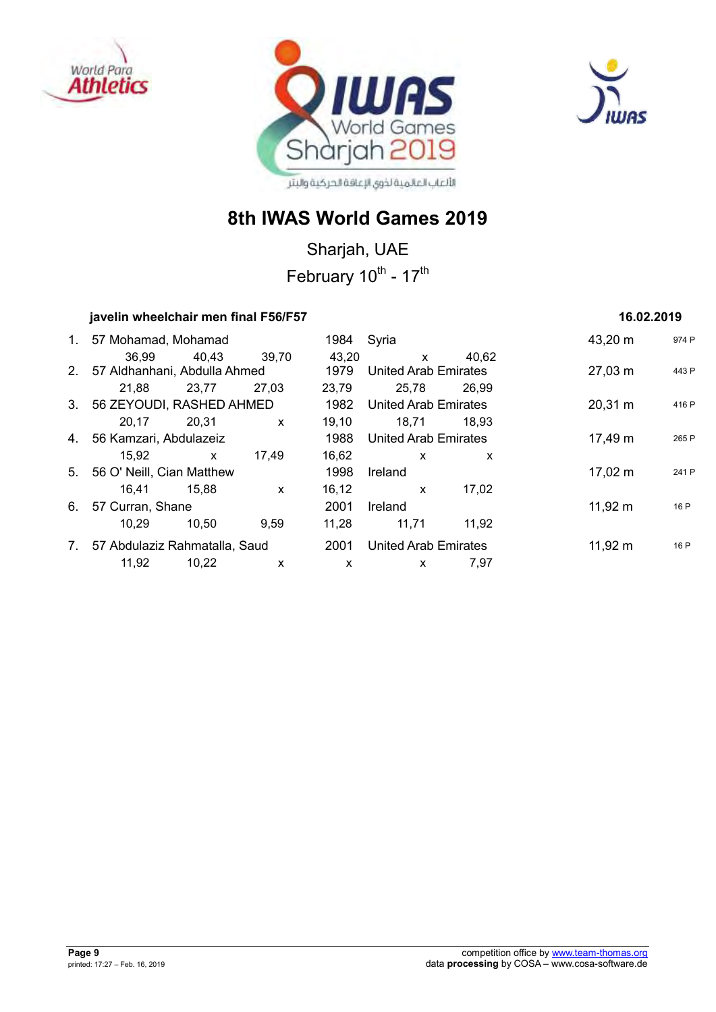





Sharjah, UAE February 10<sup>th</sup> - 17<sup>th</sup>

| javelin wheelchair men final F56/F57 |              | 16.02.2019                |                      |                             |         |                   |       |
|--------------------------------------|--------------|---------------------------|----------------------|-----------------------------|---------|-------------------|-------|
| 1. 57 Mohamad, Mohamad               |              |                           | 1984                 | Syria                       |         | 43,20 m           | 974 P |
| 36.99                                | 40,43 39,70  |                           | 43.20                | $\mathsf{x}$                | 40.62   |                   |       |
| 2. 57 Aldhanhani, Abdulla Ahmed      |              |                           | 1979                 | <b>United Arab Emirates</b> |         | $27,03 \; m$      | 443 P |
| 21.88                                | 23,77        | 27,03                     | 23,79                | 25,78                       | 26.99   |                   |       |
| 3. 56 ZEYOUDI, RASHED AHMED          |              |                           | 1982                 | <b>United Arab Emirates</b> |         | $20,31 \text{ m}$ | 416 P |
| 20,17                                | 20,31        | $\mathsf{x}$              | 19,10                | 18,71                       | 18.93   |                   |       |
| 4. 56 Kamzari, Abdulazeiz            |              | 1988                      | United Arab Emirates |                             | 17,49 m | 265 P             |       |
| 15,92                                | $\mathsf{x}$ | 17,49                     | 16,62                | $\mathsf{x}$                | X       |                   |       |
| 5. 56 O' Neill, Cian Matthew         |              |                           | 1998                 | Ireland                     |         | $17,02 \; m$      | 241 P |
| 16.41                                | 15,88        | $\mathsf{x}$              | 16,12                | $\mathsf{x}$                | 17.02   |                   |       |
| 6. 57 Curran, Shane                  |              |                           | 2001                 | Ireland                     |         | $11,92 \; m$      | 16 P  |
| 10.29                                | 10,50        | 9.59                      | 11,28                | 11,71                       | 11,92   |                   |       |
| 7. 57 Abdulaziz Rahmatalla, Saud     |              |                           | 2001                 | <b>United Arab Emirates</b> |         | $11,92 \; m$      | 16 P  |
| 11,92                                | 10,22        | $\boldsymbol{\mathsf{x}}$ | X                    | X                           | 7,97    |                   |       |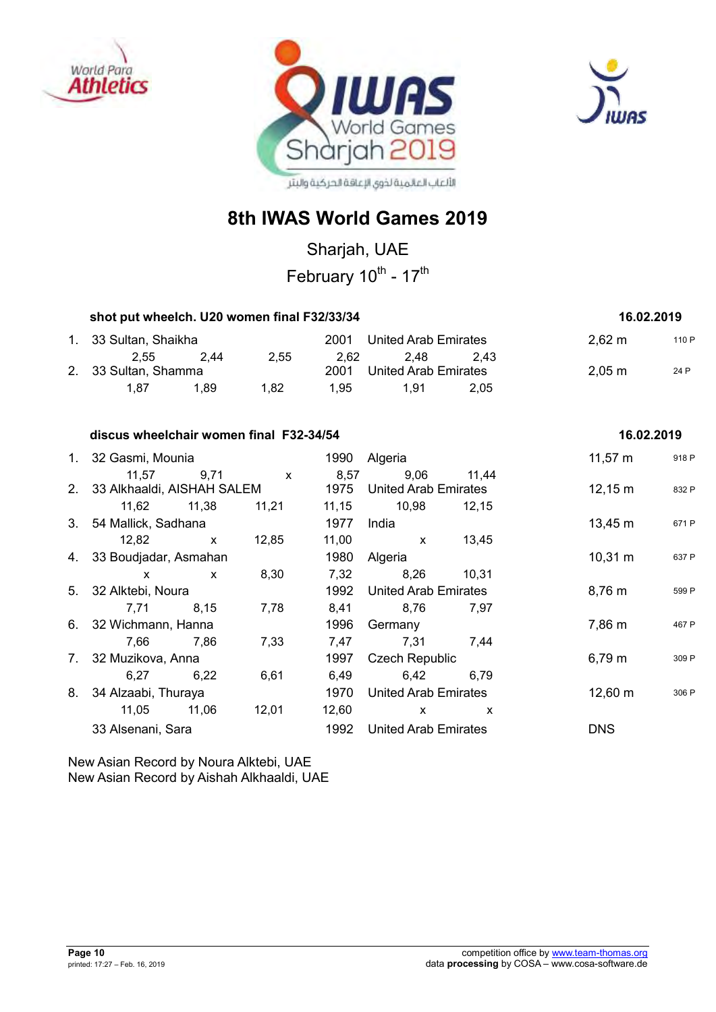





Sharjah, UAE

February 10<sup>th</sup> - 17<sup>th</sup>

| shot put wheelch. U20 women final F32/33/34 | 16.02.2019 |      |      |                             |      |                    |       |
|---------------------------------------------|------------|------|------|-----------------------------|------|--------------------|-------|
| 1. 33 Sultan, Shaikha                       |            |      | 2001 | United Arab Emirates        |      | $2,62 \, \text{m}$ | 110 P |
| 2.55                                        | -2.44      | 2.55 | 2.62 | 2.48                        | 2.43 |                    |       |
| 2. 33 Sultan, Shamma                        |            |      | 2001 | <b>United Arab Emirates</b> |      | $2,05 \; \text{m}$ | 24 P  |
| 1.87                                        | 1.89       | 1.82 | 1.95 | 1.91                        | 2.05 |                    |       |

#### **discus wheelchair women final F32-34/54** 16.02.2019 **16.02.2019**

| 1. 32 Gasmi, Mounia           |              |              | 1990  | Algeria                     |       | 11,57 $m$         | 918 P |
|-------------------------------|--------------|--------------|-------|-----------------------------|-------|-------------------|-------|
| 11,57                         | 9,71         | $\mathsf{X}$ | 8,57  | 9,06                        | 11,44 |                   |       |
| 2. 33 Alkhaaldi, AISHAH SALEM |              |              | 1975  | United Arab Emirates        |       | $12,15 \text{ m}$ | 832 P |
| 11,62 11,38                   |              | 11,21        | 11,15 | 10,98                       | 12,15 |                   |       |
| 3. 54 Mallick, Sadhana        |              |              | 1977  | India                       |       | $13,45 \; m$      | 671 P |
| 12,82                         | $\mathsf{X}$ | 12,85        | 11,00 | $\mathsf{x}$                | 13,45 |                   |       |
| 4. 33 Boudjadar, Asmahan      |              |              | 1980  | Algeria                     |       | $10,31 \; m$      | 637 P |
| X                             | $\mathsf{x}$ | 8,30         | 7,32  | 8,26                        | 10,31 |                   |       |
| 5. 32 Alktebi, Noura          |              |              | 1992  | United Arab Emirates        |       | 8,76 m            | 599 P |
| 7,71                          | 8,15         | 7,78         | 8,41  | 8,76                        | 7,97  |                   |       |
| 6. 32 Wichmann, Hanna         |              |              | 1996  | Germany                     |       | 7,86 m            | 467 P |
| 7,66                          | 7,86         | 7,33         | 7,47  | 7,31                        | 7,44  |                   |       |
| 7. 32 Muzikova, Anna          |              |              | 1997  | <b>Czech Republic</b>       |       | $6,79 \; m$       | 309 P |
| 6,27                          | 6,22         | 6,61         | 6,49  | 6,42                        | 6.79  |                   |       |
| 8. 34 Alzaabi, Thuraya        |              |              | 1970  | United Arab Emirates        |       | $12,60 \text{ m}$ | 306 P |
| 11,05                         | 11,06        | 12,01        | 12,60 | $\mathsf{x}$                | X     |                   |       |
| 33 Alsenani, Sara             |              |              | 1992  | <b>United Arab Emirates</b> |       | <b>DNS</b>        |       |
|                               |              |              |       |                             |       |                   |       |

New Asian Record by Noura Alktebi, UAE New Asian Record by Aishah Alkhaaldi, UAE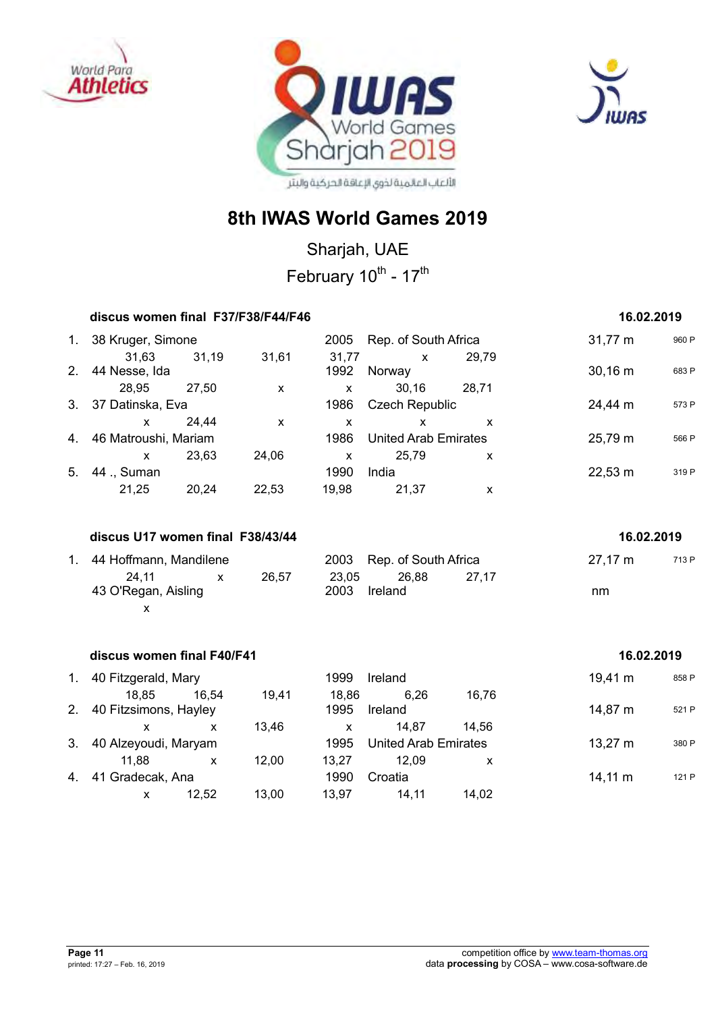





Sharjah, UAE February 10<sup>th</sup> - 17<sup>th</sup>

|    | discus women final F37/F38/F44/F46 |              |                           |                           |                             |                           | 16.02.2019          |       |
|----|------------------------------------|--------------|---------------------------|---------------------------|-----------------------------|---------------------------|---------------------|-------|
|    | 1. 38 Kruger, Simone               |              |                           |                           | 2005 Rep. of South Africa   |                           | 31,77 m             | 960 P |
|    | 31,63<br>2. 44 Nesse, Ida          | 31,19        | 31,61                     | 31,77<br>1992             | $\mathsf{x}$<br>Norway      | 29,79                     | 30,16 m             | 683 P |
|    | 28,95                              | 27,50        | $\mathsf{x}$              | $\mathsf{x}$              | 30,16                       | 28,71                     |                     |       |
|    | 3. 37 Datinska, Eva                |              |                           | 1986                      | <b>Czech Republic</b>       |                           | 24,44 m             | 573 P |
|    | $\mathsf{x}$                       | 24,44        | $\boldsymbol{\mathsf{x}}$ | $\boldsymbol{\mathsf{x}}$ | X                           | X                         |                     |       |
|    | 4. 46 Matroushi, Mariam            |              |                           | 1986                      | <b>United Arab Emirates</b> |                           | 25,79 m             | 566 P |
|    | $\mathsf{x}$                       | 23,63        | 24,06                     | $\mathsf{x}$              | 25,79                       | x                         |                     |       |
| 5. | 44 ., Suman                        |              |                           | 1990                      | India                       |                           | $22,53 \, \text{m}$ | 319 P |
|    | 21,25                              | 20,24        | 22,53                     | 19,98                     | 21,37                       | X                         |                     |       |
|    |                                    |              |                           |                           |                             |                           |                     |       |
|    | discus U17 women final F38/43/44   |              |                           |                           |                             |                           | 16.02.2019          |       |
|    | 1. 44 Hoffmann, Mandilene          |              |                           | 2003                      | Rep. of South Africa        |                           | $27,17 \; m$        | 713 P |
|    | 24,11                              | $\mathsf{x}$ | 26,57                     | 23,05                     | 26,88                       | 27,17                     |                     |       |
|    | 43 O'Regan, Aisling                |              |                           | 2003                      | Ireland                     |                           | nm                  |       |
|    | X                                  |              |                           |                           |                             |                           |                     |       |
|    |                                    |              |                           |                           |                             |                           |                     |       |
|    | discus women final F40/F41         |              |                           |                           |                             |                           | 16.02.2019          |       |
|    | 1. 40 Fitzgerald, Mary             |              |                           | 1999                      | Ireland                     |                           | $19,41 \text{ m}$   | 858 P |
|    | 18,85                              | 16,54        | 19,41                     | 18,86                     | 6,26                        | 16,76                     |                     |       |
| 2. | 40 Fitzsimons, Hayley              |              |                           | 1995                      | Ireland                     |                           | 14,87 m             | 521 P |
|    | $\mathsf{x}$                       | $\mathbf{x}$ | 13,46                     | $\mathsf{x}$              | 14,87                       | 14,56                     |                     |       |
| 3. | 40 Alzeyoudi, Maryam               |              |                           | 1995                      | <b>United Arab Emirates</b> |                           | $13,27 \; m$        | 380 P |
|    | 11,88                              | $\mathsf{x}$ | 12,00                     | 13,27                     | 12,09                       | $\boldsymbol{\mathsf{X}}$ |                     |       |
| 4. | 41 Gradecak, Ana                   |              |                           | 1990                      | Croatia                     |                           | $14,11 \; m$        | 121 P |
|    | X                                  | 12,52        | 13,00                     | 13,97                     | 14,11                       | 14,02                     |                     |       |